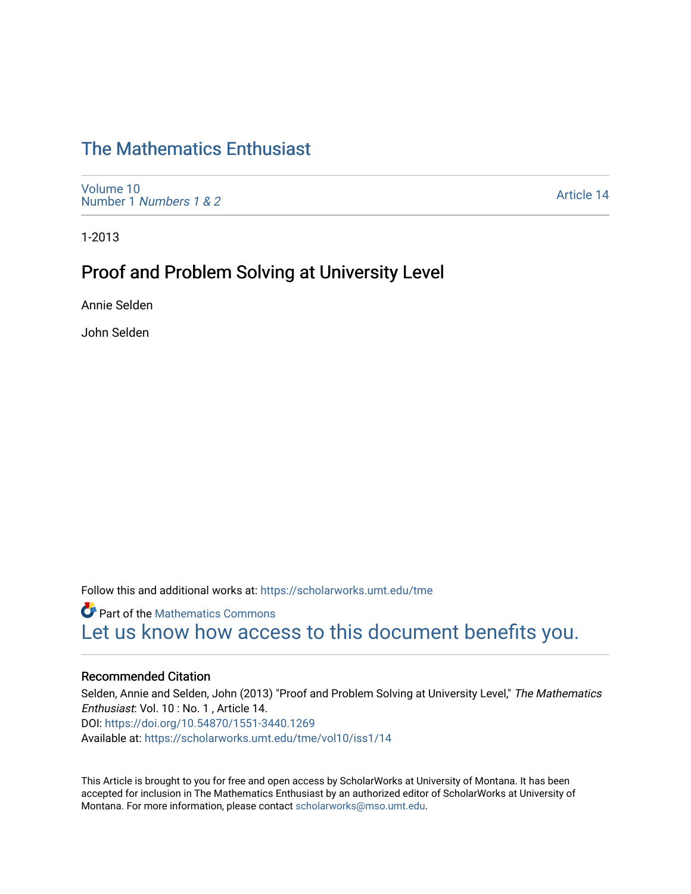## [The Mathematics Enthusiast](https://scholarworks.umt.edu/tme)

[Volume 10](https://scholarworks.umt.edu/tme/vol10) Number 1 [Numbers 1 & 2](https://scholarworks.umt.edu/tme/vol10/iss1)

[Article 14](https://scholarworks.umt.edu/tme/vol10/iss1/14) 

1-2013

## Proof and Problem Solving at University Level

Annie Selden

John Selden

Follow this and additional works at: [https://scholarworks.umt.edu/tme](https://scholarworks.umt.edu/tme?utm_source=scholarworks.umt.edu%2Ftme%2Fvol10%2Fiss1%2F14&utm_medium=PDF&utm_campaign=PDFCoverPages) 

**Part of the [Mathematics Commons](http://network.bepress.com/hgg/discipline/174?utm_source=scholarworks.umt.edu%2Ftme%2Fvol10%2Fiss1%2F14&utm_medium=PDF&utm_campaign=PDFCoverPages)** [Let us know how access to this document benefits you.](https://goo.gl/forms/s2rGfXOLzz71qgsB2) 

#### Recommended Citation

Selden, Annie and Selden, John (2013) "Proof and Problem Solving at University Level," The Mathematics Enthusiast: Vol. 10 : No. 1 , Article 14. DOI:<https://doi.org/10.54870/1551-3440.1269> Available at: [https://scholarworks.umt.edu/tme/vol10/iss1/14](https://scholarworks.umt.edu/tme/vol10/iss1/14?utm_source=scholarworks.umt.edu%2Ftme%2Fvol10%2Fiss1%2F14&utm_medium=PDF&utm_campaign=PDFCoverPages)

This Article is brought to you for free and open access by ScholarWorks at University of Montana. It has been accepted for inclusion in The Mathematics Enthusiast by an authorized editor of ScholarWorks at University of Montana. For more information, please contact [scholarworks@mso.umt.edu.](mailto:scholarworks@mso.umt.edu)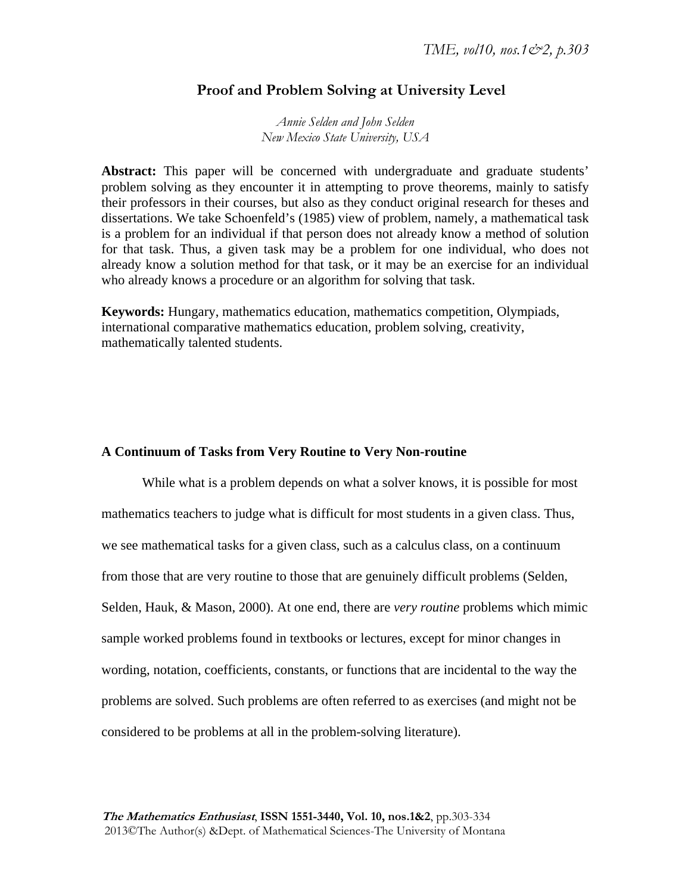## **Proof and Problem Solving at University Level**

*Annie Selden and John Selden New Mexico State University, USA* 

**Abstract:** This paper will be concerned with undergraduate and graduate students' problem solving as they encounter it in attempting to prove theorems, mainly to satisfy their professors in their courses, but also as they conduct original research for theses and dissertations. We take Schoenfeld's (1985) view of problem, namely, a mathematical task is a problem for an individual if that person does not already know a method of solution for that task. Thus, a given task may be a problem for one individual, who does not already know a solution method for that task, or it may be an exercise for an individual who already knows a procedure or an algorithm for solving that task.

**Keywords:** Hungary, mathematics education, mathematics competition, Olympiads, international comparative mathematics education, problem solving, creativity, mathematically talented students.

#### **A Continuum of Tasks from Very Routine to Very Non-routine**

While what is a problem depends on what a solver knows, it is possible for most mathematics teachers to judge what is difficult for most students in a given class. Thus, we see mathematical tasks for a given class, such as a calculus class, on a continuum from those that are very routine to those that are genuinely difficult problems (Selden, Selden, Hauk, & Mason, 2000). At one end, there are *very routine* problems which mimic sample worked problems found in textbooks or lectures, except for minor changes in wording, notation, coefficients, constants, or functions that are incidental to the way the problems are solved. Such problems are often referred to as exercises (and might not be considered to be problems at all in the problem-solving literature).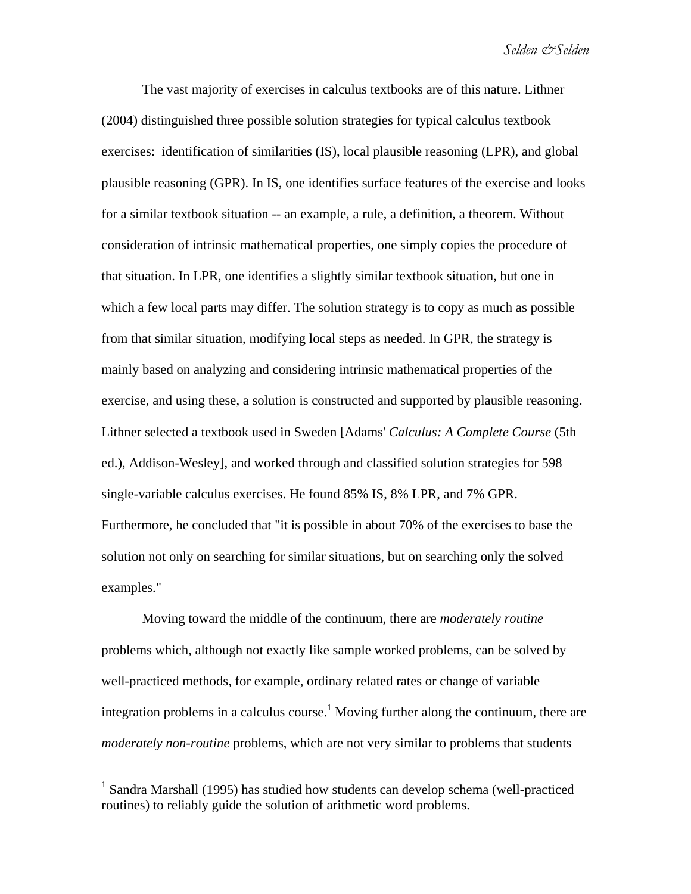The vast majority of exercises in calculus textbooks are of this nature. Lithner (2004) distinguished three possible solution strategies for typical calculus textbook exercises: identification of similarities (IS), local plausible reasoning (LPR), and global plausible reasoning (GPR). In IS, one identifies surface features of the exercise and looks for a similar textbook situation -- an example, a rule, a definition, a theorem. Without consideration of intrinsic mathematical properties, one simply copies the procedure of that situation. In LPR, one identifies a slightly similar textbook situation, but one in which a few local parts may differ. The solution strategy is to copy as much as possible from that similar situation, modifying local steps as needed. In GPR, the strategy is mainly based on analyzing and considering intrinsic mathematical properties of the exercise, and using these, a solution is constructed and supported by plausible reasoning. Lithner selected a textbook used in Sweden [Adams' *Calculus: A Complete Course* (5th ed.), Addison-Wesley], and worked through and classified solution strategies for 598 single-variable calculus exercises. He found 85% IS, 8% LPR, and 7% GPR. Furthermore, he concluded that "it is possible in about 70% of the exercises to base the solution not only on searching for similar situations, but on searching only the solved examples."

Moving toward the middle of the continuum, there are *moderately routine* problems which, although not exactly like sample worked problems, can be solved by well-practiced methods, for example, ordinary related rates or change of variable integration problems in a calculus course.<sup>1</sup> Moving further along the continuum, there are *moderately non-routine* problems, which are not very similar to problems that students

 $\overline{a}$ 

<sup>&</sup>lt;sup>1</sup> Sandra Marshall (1995) has studied how students can develop schema (well-practiced routines) to reliably guide the solution of arithmetic word problems.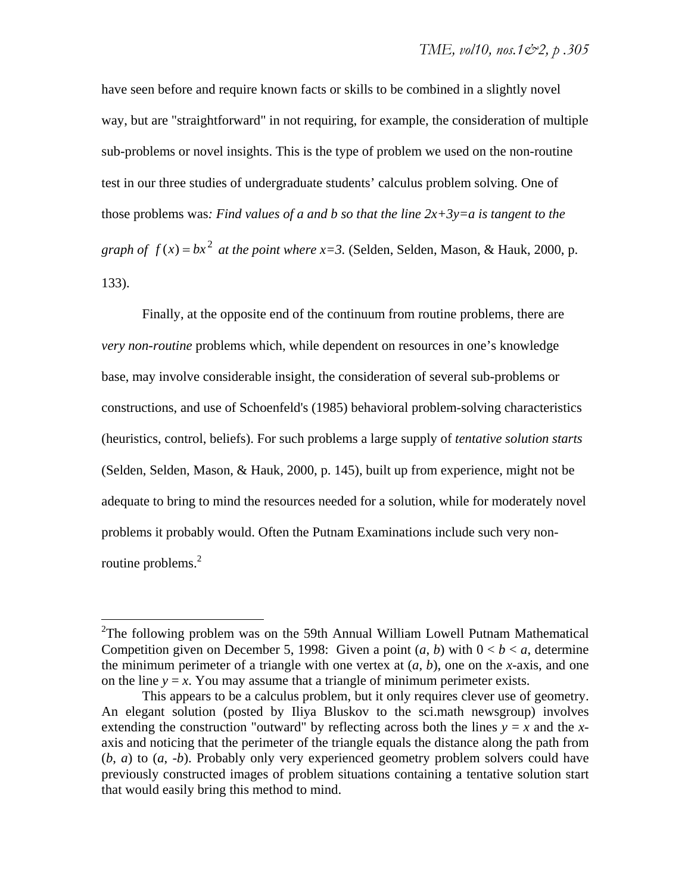have seen before and require known facts or skills to be combined in a slightly novel way, but are "straightforward" in not requiring, for example, the consideration of multiple sub-problems or novel insights. This is the type of problem we used on the non-routine test in our three studies of undergraduate students' calculus problem solving. One of those problems was: Find values of a and b so that the line  $2x+3y=a$  is tangent to the *graph of*  $f(x) = bx^2$  *at the point where x*=3. (Selden, Selden, Mason, & Hauk, 2000, p. 133).

Finally, at the opposite end of the continuum from routine problems, there are *very non-routine* problems which, while dependent on resources in one's knowledge base, may involve considerable insight, the consideration of several sub-problems or constructions, and use of Schoenfeld's (1985) behavioral problem-solving characteristics (heuristics, control, beliefs). For such problems a large supply of *tentative solution starts* (Selden, Selden, Mason, & Hauk, 2000, p. 145), built up from experience, might not be adequate to bring to mind the resources needed for a solution, while for moderately novel problems it probably would. Often the Putnam Examinations include such very nonroutine problems. $2$ 

 $\overline{a}$ 

<sup>&</sup>lt;sup>2</sup>The following problem was on the 59th Annual William Lowell Putnam Mathematical Competition given on December 5, 1998: Given a point  $(a, b)$  with  $0 < b < a$ , determine the minimum perimeter of a triangle with one vertex at  $(a, b)$ , one on the *x*-axis, and one on the line  $y = x$ . You may assume that a triangle of minimum perimeter exists.

This appears to be a calculus problem, but it only requires clever use of geometry. An elegant solution (posted by Iliya Bluskov to the sci.math newsgroup) involves extending the construction "outward" by reflecting across both the lines  $y = x$  and the *x*axis and noticing that the perimeter of the triangle equals the distance along the path from (*b*, *a*) to (*a*, -*b*). Probably only very experienced geometry problem solvers could have previously constructed images of problem situations containing a tentative solution start that would easily bring this method to mind.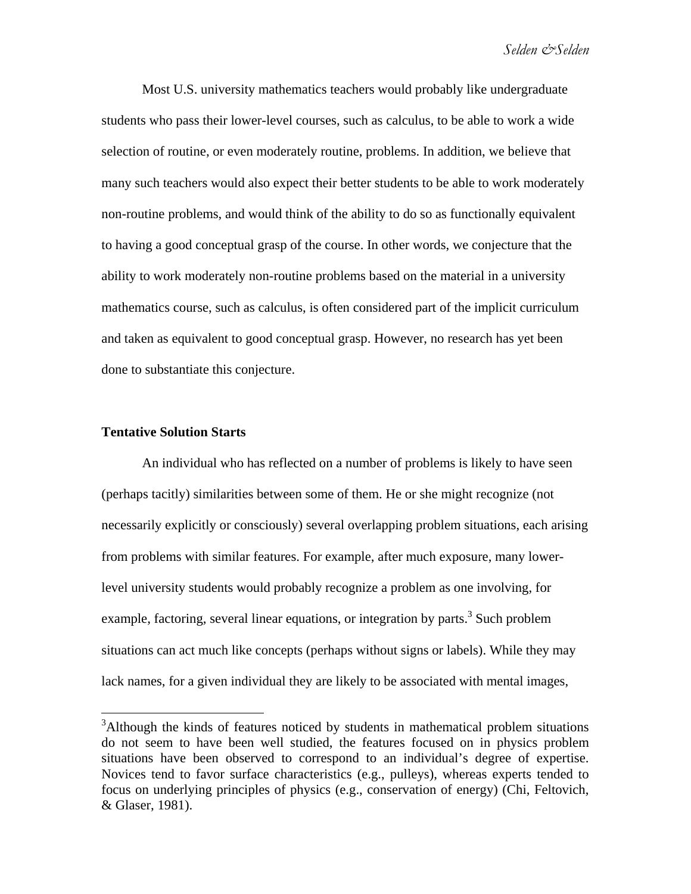Most U.S. university mathematics teachers would probably like undergraduate students who pass their lower-level courses, such as calculus, to be able to work a wide selection of routine, or even moderately routine, problems. In addition, we believe that many such teachers would also expect their better students to be able to work moderately non-routine problems, and would think of the ability to do so as functionally equivalent to having a good conceptual grasp of the course. In other words, we conjecture that the ability to work moderately non-routine problems based on the material in a university mathematics course, such as calculus, is often considered part of the implicit curriculum and taken as equivalent to good conceptual grasp. However, no research has yet been done to substantiate this conjecture.

## **Tentative Solution Starts**

 $\overline{a}$ 

An individual who has reflected on a number of problems is likely to have seen (perhaps tacitly) similarities between some of them. He or she might recognize (not necessarily explicitly or consciously) several overlapping problem situations, each arising from problems with similar features. For example, after much exposure, many lowerlevel university students would probably recognize a problem as one involving, for example, factoring, several linear equations, or integration by parts.<sup>3</sup> Such problem situations can act much like concepts (perhaps without signs or labels). While they may lack names, for a given individual they are likely to be associated with mental images,

<sup>&</sup>lt;sup>3</sup>Although the kinds of features noticed by students in mathematical problem situations do not seem to have been well studied, the features focused on in physics problem situations have been observed to correspond to an individual's degree of expertise. Novices tend to favor surface characteristics (e.g., pulleys), whereas experts tended to focus on underlying principles of physics (e.g., conservation of energy) (Chi, Feltovich, & Glaser, 1981).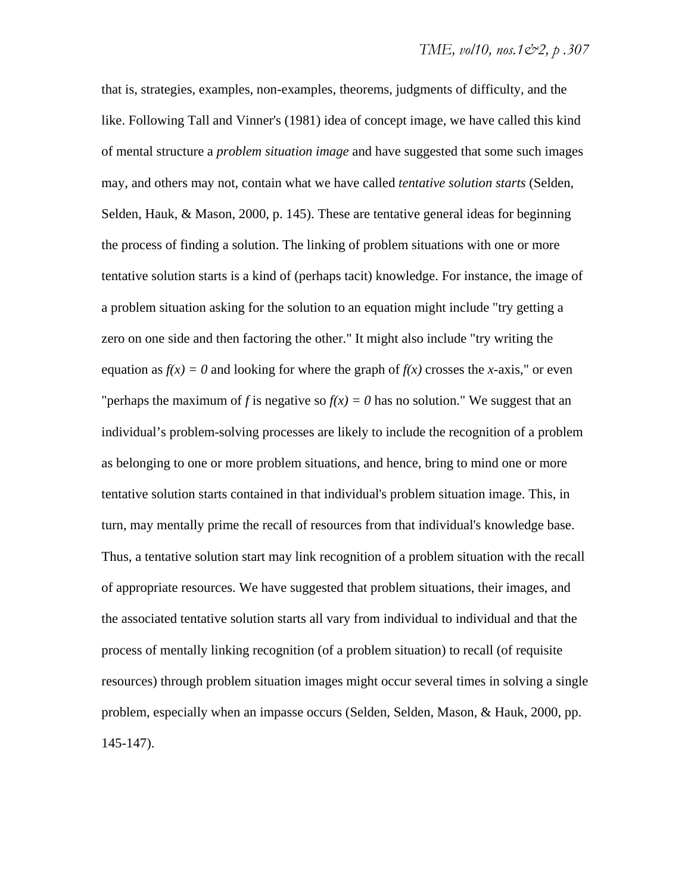that is, strategies, examples, non-examples, theorems, judgments of difficulty, and the like. Following Tall and Vinner's (1981) idea of concept image, we have called this kind of mental structure a *problem situation image* and have suggested that some such images may, and others may not, contain what we have called *tentative solution starts* (Selden, Selden, Hauk, & Mason, 2000, p. 145). These are tentative general ideas for beginning the process of finding a solution. The linking of problem situations with one or more tentative solution starts is a kind of (perhaps tacit) knowledge. For instance, the image of a problem situation asking for the solution to an equation might include "try getting a zero on one side and then factoring the other." It might also include "try writing the equation as  $f(x) = 0$  and looking for where the graph of  $f(x)$  crosses the *x*-axis," or even "perhaps the maximum of *f* is negative so  $f(x) = 0$  has no solution." We suggest that an individual's problem-solving processes are likely to include the recognition of a problem as belonging to one or more problem situations, and hence, bring to mind one or more tentative solution starts contained in that individual's problem situation image. This, in turn, may mentally prime the recall of resources from that individual's knowledge base. Thus, a tentative solution start may link recognition of a problem situation with the recall of appropriate resources. We have suggested that problem situations, their images, and the associated tentative solution starts all vary from individual to individual and that the process of mentally linking recognition (of a problem situation) to recall (of requisite resources) through problem situation images might occur several times in solving a single problem, especially when an impasse occurs (Selden, Selden, Mason, & Hauk, 2000, pp. 145-147).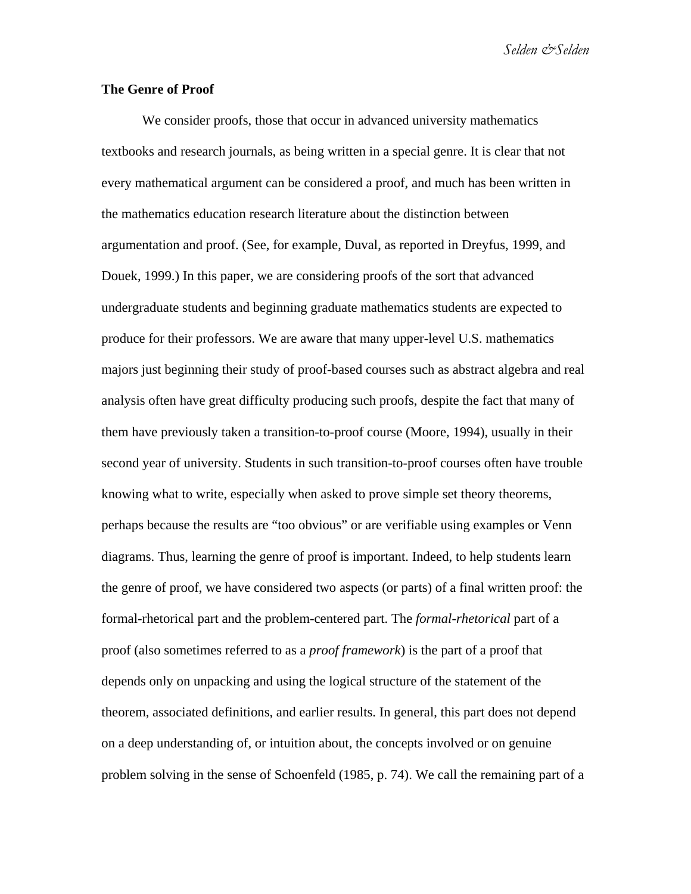*Selden &Selden* 

## **The Genre of Proof**

We consider proofs, those that occur in advanced university mathematics textbooks and research journals, as being written in a special genre. It is clear that not every mathematical argument can be considered a proof, and much has been written in the mathematics education research literature about the distinction between argumentation and proof. (See, for example, Duval, as reported in Dreyfus, 1999, and Douek, 1999.) In this paper, we are considering proofs of the sort that advanced undergraduate students and beginning graduate mathematics students are expected to produce for their professors. We are aware that many upper-level U.S. mathematics majors just beginning their study of proof-based courses such as abstract algebra and real analysis often have great difficulty producing such proofs, despite the fact that many of them have previously taken a transition-to-proof course (Moore, 1994), usually in their second year of university. Students in such transition-to-proof courses often have trouble knowing what to write, especially when asked to prove simple set theory theorems, perhaps because the results are "too obvious" or are verifiable using examples or Venn diagrams. Thus, learning the genre of proof is important. Indeed, to help students learn the genre of proof, we have considered two aspects (or parts) of a final written proof: the formal-rhetorical part and the problem-centered part. The *formal-rhetorical* part of a proof (also sometimes referred to as a *proof framework*) is the part of a proof that depends only on unpacking and using the logical structure of the statement of the theorem, associated definitions, and earlier results. In general, this part does not depend on a deep understanding of, or intuition about, the concepts involved or on genuine problem solving in the sense of Schoenfeld (1985, p. 74). We call the remaining part of a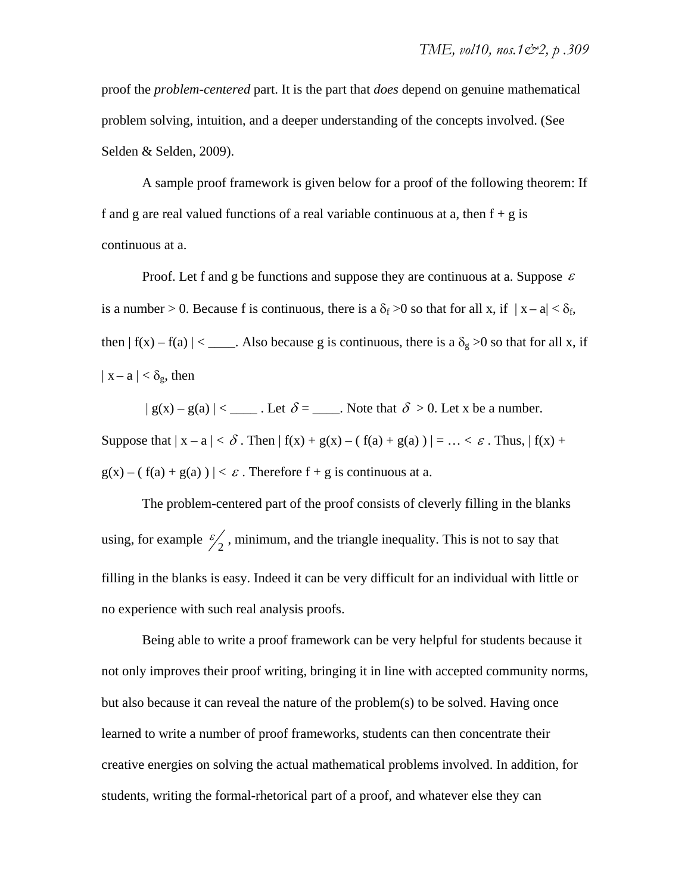proof the *problem-centered* part. It is the part that *does* depend on genuine mathematical problem solving, intuition, and a deeper understanding of the concepts involved. (See Selden & Selden, 2009).

A sample proof framework is given below for a proof of the following theorem: If f and g are real valued functions of a real variable continuous at a, then  $f + g$  is continuous at a.

Proof. Let f and g be functions and suppose they are continuous at a. Suppose  $\varepsilon$ is a number > 0. Because f is continuous, there is a  $\delta_f > 0$  so that for all x, if  $|x - a| < \delta_f$ , then  $| f(x) - f(a) | <$  Also because g is continuous, there is a  $\delta_g > 0$  so that for all x, if  $|x - a| < \delta_g$ , then

 $| g(x) - g(a) |$  < \_\_\_\_\_\_. Let  $\delta =$  \_\_\_\_\_. Note that  $\delta > 0$ . Let x be a number. Suppose that  $|x - a| < \delta$ . Then  $|f(x) + g(x) - (f(a) + g(a))| = ... < \varepsilon$ . Thus,  $|f(x) + g(a)|$  $g(x) - ( f(a) + g(a) ) \mid < \varepsilon$ . Therefore  $f + g$  is continuous at a.

The problem-centered part of the proof consists of cleverly filling in the blanks using, for example  $\frac{\epsilon}{2}$ , minimum, and the triangle inequality. This is not to say that filling in the blanks is easy. Indeed it can be very difficult for an individual with little or no experience with such real analysis proofs.

Being able to write a proof framework can be very helpful for students because it not only improves their proof writing, bringing it in line with accepted community norms, but also because it can reveal the nature of the problem(s) to be solved. Having once learned to write a number of proof frameworks, students can then concentrate their creative energies on solving the actual mathematical problems involved. In addition, for students, writing the formal-rhetorical part of a proof, and whatever else they can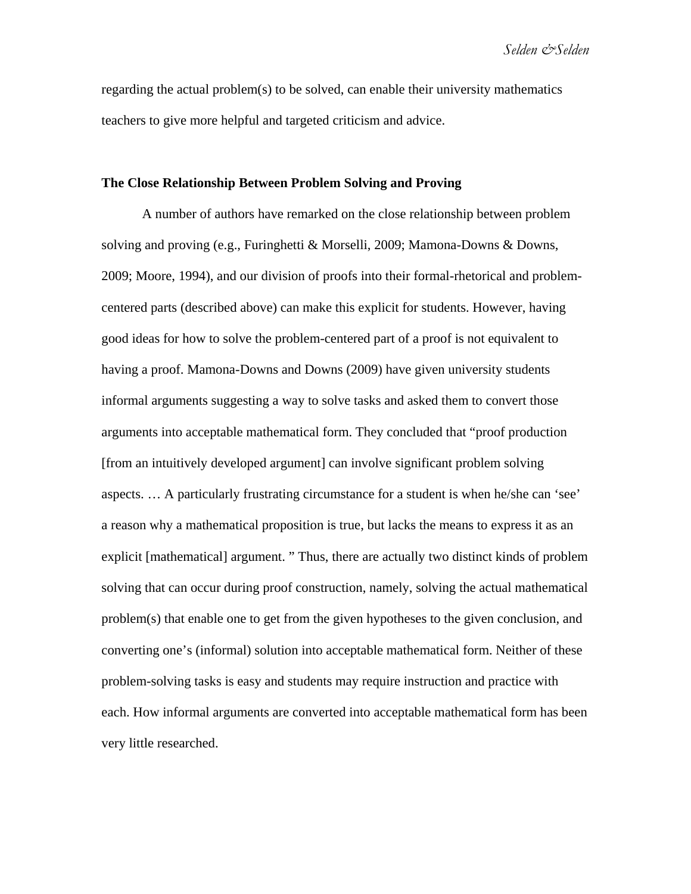*Selden &Selden* 

regarding the actual problem(s) to be solved, can enable their university mathematics teachers to give more helpful and targeted criticism and advice.

### **The Close Relationship Between Problem Solving and Proving**

A number of authors have remarked on the close relationship between problem solving and proving (e.g., Furinghetti & Morselli, 2009; Mamona-Downs & Downs, 2009; Moore, 1994), and our division of proofs into their formal-rhetorical and problemcentered parts (described above) can make this explicit for students. However, having good ideas for how to solve the problem-centered part of a proof is not equivalent to having a proof. Mamona-Downs and Downs (2009) have given university students informal arguments suggesting a way to solve tasks and asked them to convert those arguments into acceptable mathematical form. They concluded that "proof production [from an intuitively developed argument] can involve significant problem solving aspects. … A particularly frustrating circumstance for a student is when he/she can 'see' a reason why a mathematical proposition is true, but lacks the means to express it as an explicit [mathematical] argument. " Thus, there are actually two distinct kinds of problem solving that can occur during proof construction, namely, solving the actual mathematical problem(s) that enable one to get from the given hypotheses to the given conclusion, and converting one's (informal) solution into acceptable mathematical form. Neither of these problem-solving tasks is easy and students may require instruction and practice with each. How informal arguments are converted into acceptable mathematical form has been very little researched.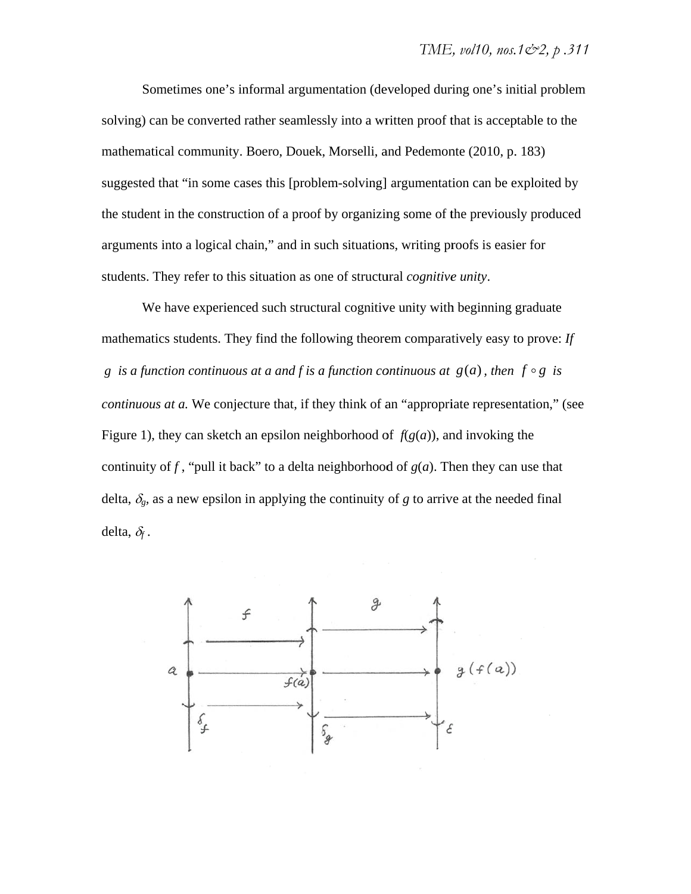solving) can be converted rather seamlessly into a written proof that is acceptable to the mathematical community. Boero, Douek, Morselli, and Pedemonte (2010, p. 183) suggested that "in some cases this [problem-solving] argumentation can be exploited by the student in the construction of a proof by organizing some of the previously produced arguments into a logical chain," and in such situations, writing proofs is easier for students. They refer to this situation as one of structural *cognitive unity*. Sometimes one's informal argumentation (developed during one's initial problem

mathematics students. They find the following theorem comparatively easy to prove: *If g* is a function continuous at a and f is a function continuous at  $g(a)$ , then  $f \circ g$  is *continuous at a*. We conjecture that, if they think of an "appropriate representation," (see Figure 1), they can sketch an epsilon neighborhood of  $f(g(a))$ , and invoking the continuity of f, "pull it back" to a delta neighborhood of  $g(a)$ . Then they can use that delta,  $\delta_g$ , as a new epsilon in applying the continuity of *g* to arrive at the needed final delta,  $\delta_f$ . We have experienced such structural cognitive unity with beginning graduate d<br>.<br>.

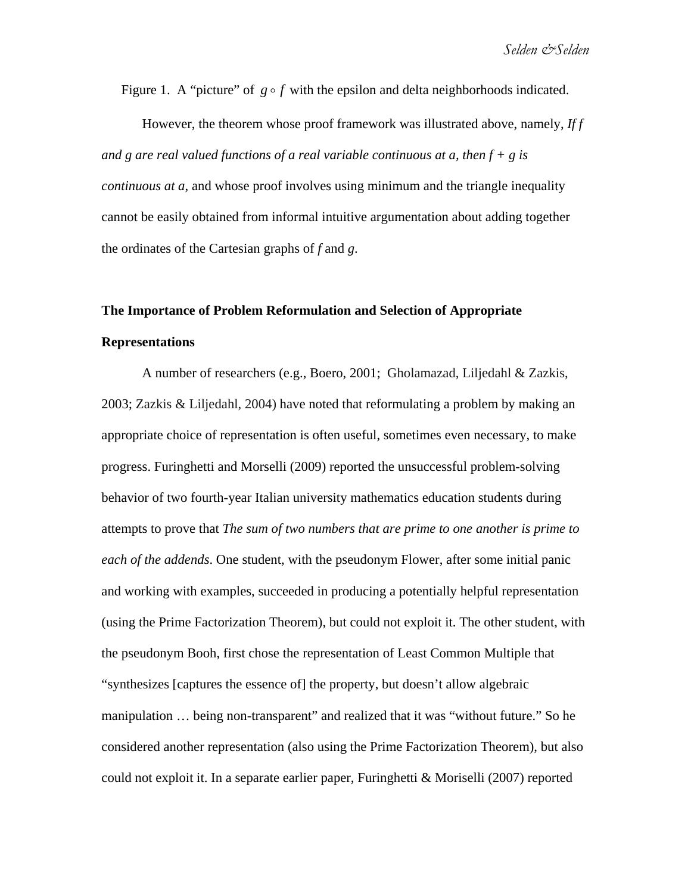Figure 1. A "picture" of  $g \circ f$  with the epsilon and delta neighborhoods indicated.

However, the theorem whose proof framework was illustrated above, namely, *If f and g are real valued functions of a real variable continuous at a, then f + g is continuous at a*, and whose proof involves using minimum and the triangle inequality cannot be easily obtained from informal intuitive argumentation about adding together the ordinates of the Cartesian graphs of *f* and *g*.

# **The Importance of Problem Reformulation and Selection of Appropriate Representations**

A number of researchers (e.g., Boero, 2001; Gholamazad, Liljedahl & Zazkis, 2003; Zazkis & Liljedahl, 2004) have noted that reformulating a problem by making an appropriate choice of representation is often useful, sometimes even necessary, to make progress. Furinghetti and Morselli (2009) reported the unsuccessful problem-solving behavior of two fourth-year Italian university mathematics education students during attempts to prove that *The sum of two numbers that are prime to one another is prime to each of the addends*. One student, with the pseudonym Flower, after some initial panic and working with examples, succeeded in producing a potentially helpful representation (using the Prime Factorization Theorem), but could not exploit it. The other student, with the pseudonym Booh, first chose the representation of Least Common Multiple that "synthesizes [captures the essence of] the property, but doesn't allow algebraic manipulation … being non-transparent" and realized that it was "without future." So he considered another representation (also using the Prime Factorization Theorem), but also could not exploit it. In a separate earlier paper, Furinghetti & Moriselli (2007) reported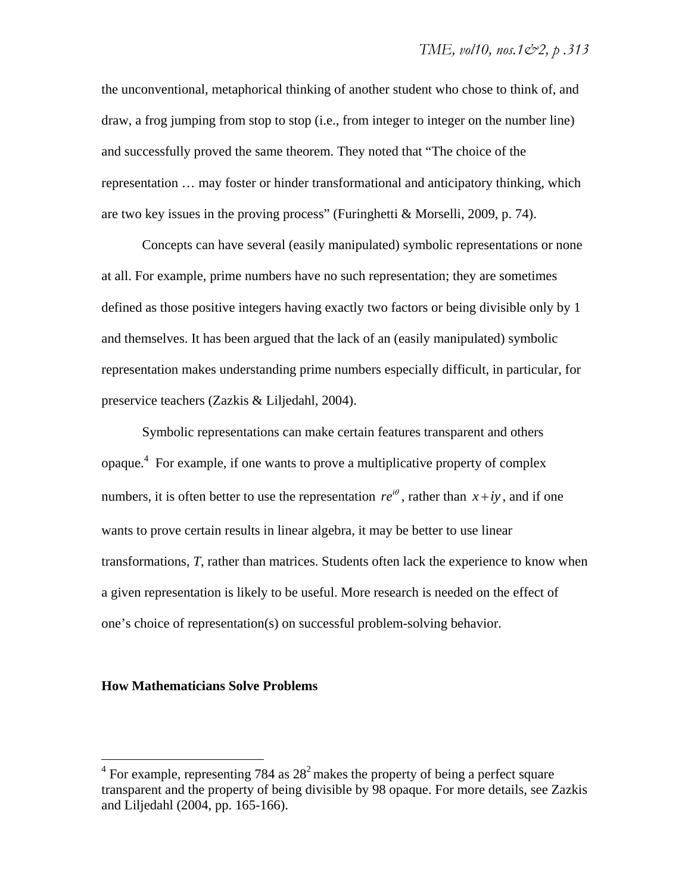the unconventional, metaphorical thinking of another student who chose to think of, and draw, a frog jumping from stop to stop (i.e., from integer to integer on the number line) and successfully proved the same theorem. They noted that "The choice of the representation … may foster or hinder transformational and anticipatory thinking, which are two key issues in the proving process" (Furinghetti & Morselli, 2009, p. 74).

Concepts can have several (easily manipulated) symbolic representations or none at all. For example, prime numbers have no such representation; they are sometimes defined as those positive integers having exactly two factors or being divisible only by 1 and themselves. It has been argued that the lack of an (easily manipulated) symbolic representation makes understanding prime numbers especially difficult, in particular, for preservice teachers (Zazkis & Liljedahl, 2004).

Symbolic representations can make certain features transparent and others opaque.4 For example, if one wants to prove a multiplicative property of complex numbers, it is often better to use the representation  $re^{i\theta}$ , rather than  $x + iy$ , and if one wants to prove certain results in linear algebra, it may be better to use linear transformations, *T*, rather than matrices. Students often lack the experience to know when a given representation is likely to be useful. More research is needed on the effect of one's choice of representation(s) on successful problem-solving behavior.

## **How Mathematicians Solve Problems**

<sup>&</sup>lt;sup>4</sup> For example, representing 784 as 28<sup>2</sup> makes the property of being a perfect square transparent and the property of being divisible by 98 opaque. For more details, see Zazkis and Liljedahl (2004, pp. 165-166).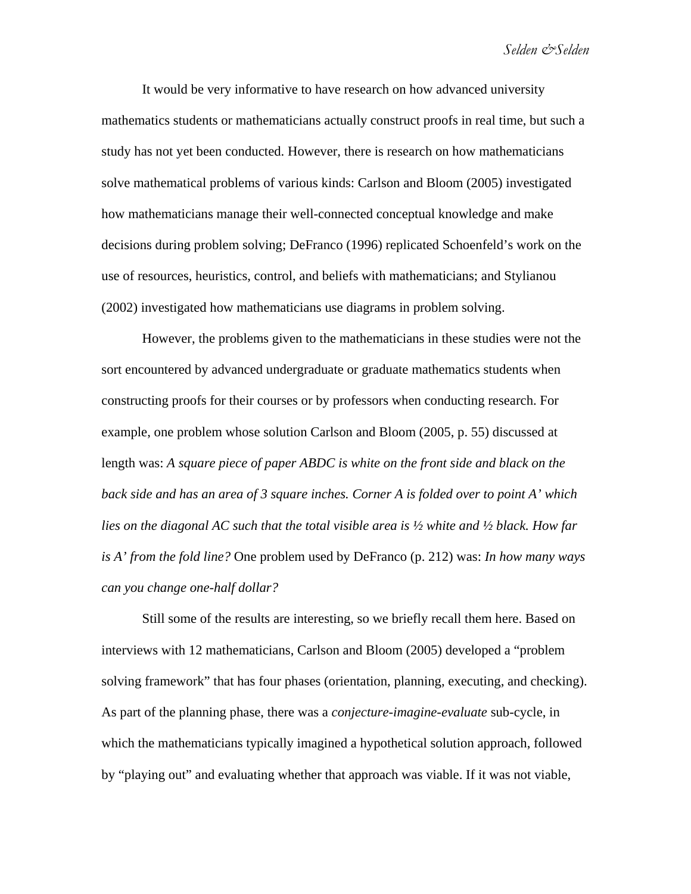It would be very informative to have research on how advanced university mathematics students or mathematicians actually construct proofs in real time, but such a study has not yet been conducted. However, there is research on how mathematicians solve mathematical problems of various kinds: Carlson and Bloom (2005) investigated how mathematicians manage their well-connected conceptual knowledge and make decisions during problem solving; DeFranco (1996) replicated Schoenfeld's work on the use of resources, heuristics, control, and beliefs with mathematicians; and Stylianou (2002) investigated how mathematicians use diagrams in problem solving.

However, the problems given to the mathematicians in these studies were not the sort encountered by advanced undergraduate or graduate mathematics students when constructing proofs for their courses or by professors when conducting research. For example, one problem whose solution Carlson and Bloom (2005, p. 55) discussed at length was: *A square piece of paper ABDC is white on the front side and black on the back side and has an area of 3 square inches. Corner A is folded over to point A' which lies on the diagonal AC such that the total visible area is ½ white and ½ black. How far is A' from the fold line?* One problem used by DeFranco (p. 212) was: *In how many ways can you change one-half dollar?*

Still some of the results are interesting, so we briefly recall them here. Based on interviews with 12 mathematicians, Carlson and Bloom (2005) developed a "problem solving framework" that has four phases (orientation, planning, executing, and checking). As part of the planning phase, there was a *conjecture-imagine-evaluate* sub-cycle, in which the mathematicians typically imagined a hypothetical solution approach, followed by "playing out" and evaluating whether that approach was viable. If it was not viable,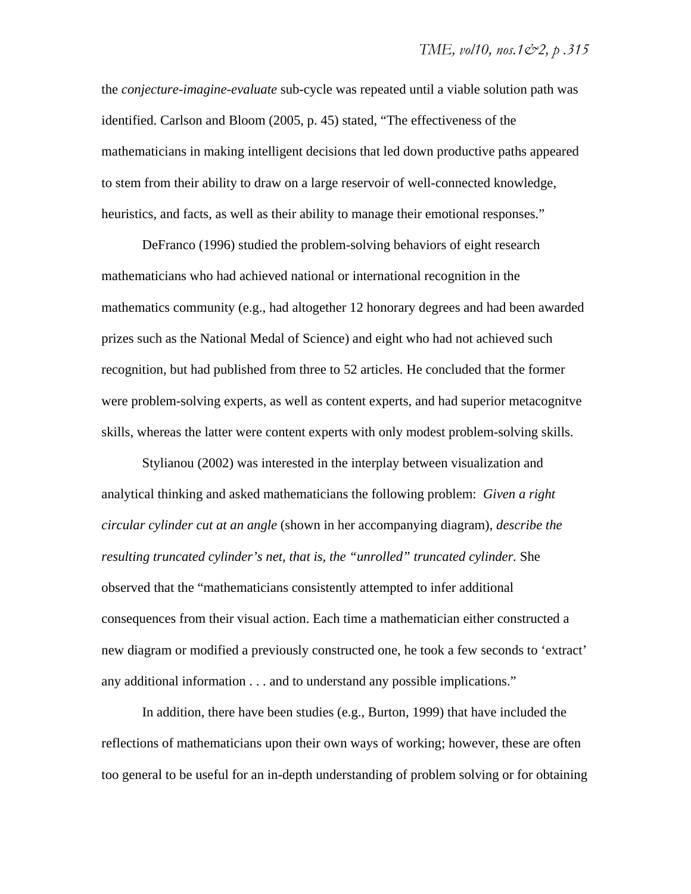the *conjecture-imagine-evaluate* sub-cycle was repeated until a viable solution path was identified. Carlson and Bloom (2005, p. 45) stated, "The effectiveness of the mathematicians in making intelligent decisions that led down productive paths appeared to stem from their ability to draw on a large reservoir of well-connected knowledge, heuristics, and facts, as well as their ability to manage their emotional responses."

DeFranco (1996) studied the problem-solving behaviors of eight research mathematicians who had achieved national or international recognition in the mathematics community (e.g., had altogether 12 honorary degrees and had been awarded prizes such as the National Medal of Science) and eight who had not achieved such recognition, but had published from three to 52 articles. He concluded that the former were problem-solving experts, as well as content experts, and had superior metacognitve skills, whereas the latter were content experts with only modest problem-solving skills.

Stylianou (2002) was interested in the interplay between visualization and analytical thinking and asked mathematicians the following problem: *Given a right circular cylinder cut at an angle* (shown in her accompanying diagram), *describe the resulting truncated cylinder's net, that is, the "unrolled" truncated cylinder.* She observed that the "mathematicians consistently attempted to infer additional consequences from their visual action. Each time a mathematician either constructed a new diagram or modified a previously constructed one, he took a few seconds to 'extract' any additional information . . . and to understand any possible implications."

In addition, there have been studies (e.g., Burton, 1999) that have included the reflections of mathematicians upon their own ways of working; however, these are often too general to be useful for an in-depth understanding of problem solving or for obtaining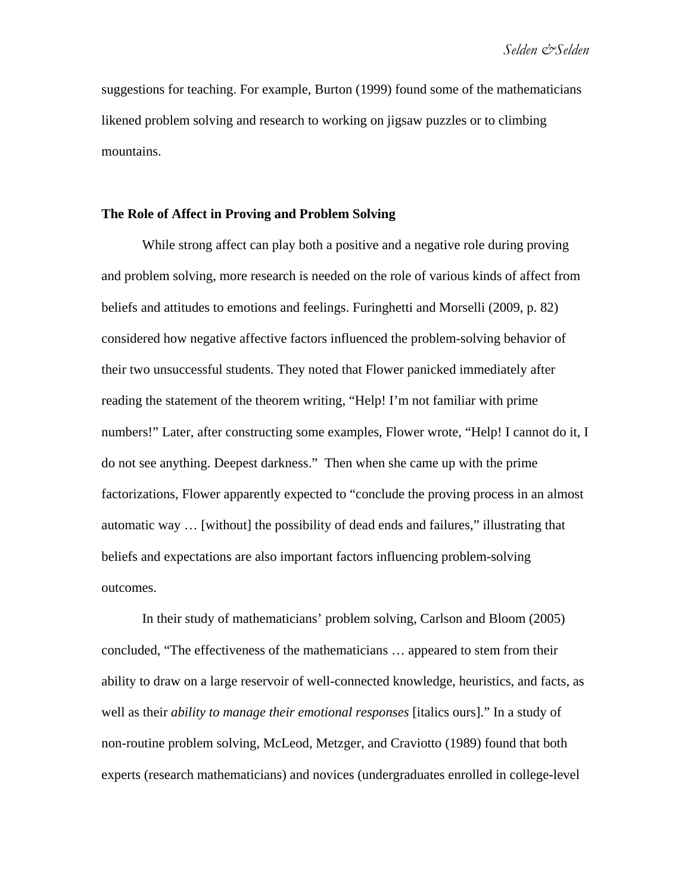suggestions for teaching. For example, Burton (1999) found some of the mathematicians likened problem solving and research to working on jigsaw puzzles or to climbing mountains.

## **The Role of Affect in Proving and Problem Solving**

While strong affect can play both a positive and a negative role during proving and problem solving, more research is needed on the role of various kinds of affect from beliefs and attitudes to emotions and feelings. Furinghetti and Morselli (2009, p. 82) considered how negative affective factors influenced the problem-solving behavior of their two unsuccessful students. They noted that Flower panicked immediately after reading the statement of the theorem writing, "Help! I'm not familiar with prime numbers!" Later, after constructing some examples, Flower wrote, "Help! I cannot do it, I do not see anything. Deepest darkness." Then when she came up with the prime factorizations, Flower apparently expected to "conclude the proving process in an almost automatic way … [without] the possibility of dead ends and failures," illustrating that beliefs and expectations are also important factors influencing problem-solving outcomes.

In their study of mathematicians' problem solving, Carlson and Bloom (2005) concluded, "The effectiveness of the mathematicians … appeared to stem from their ability to draw on a large reservoir of well-connected knowledge, heuristics, and facts, as well as their *ability to manage their emotional responses* [italics ours]." In a study of non-routine problem solving, McLeod, Metzger, and Craviotto (1989) found that both experts (research mathematicians) and novices (undergraduates enrolled in college-level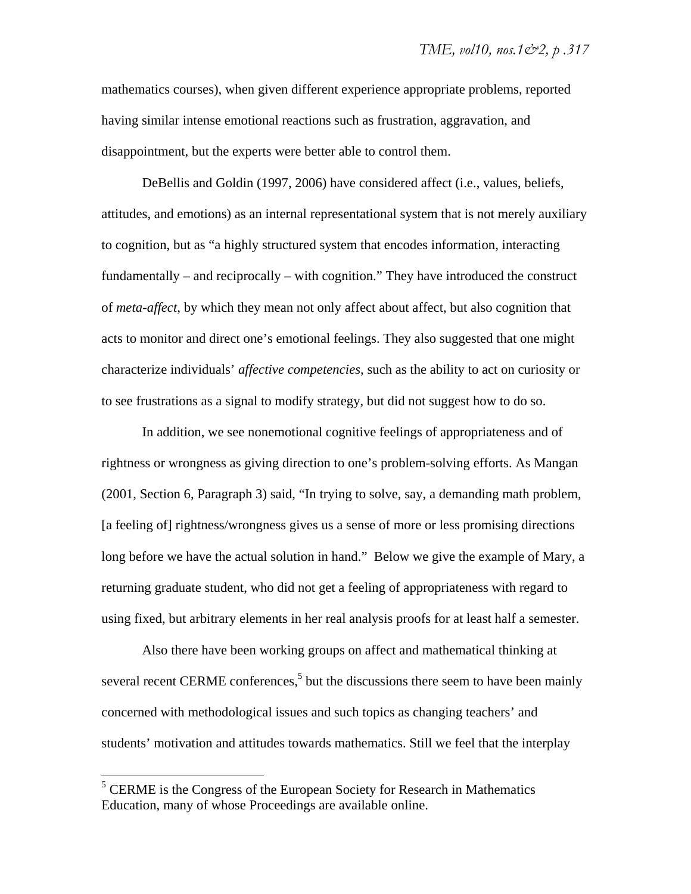mathematics courses), when given different experience appropriate problems, reported having similar intense emotional reactions such as frustration, aggravation, and disappointment, but the experts were better able to control them.

DeBellis and Goldin (1997, 2006) have considered affect (i.e., values, beliefs, attitudes, and emotions) as an internal representational system that is not merely auxiliary to cognition, but as "a highly structured system that encodes information, interacting fundamentally – and reciprocally – with cognition." They have introduced the construct of *meta-affect*, by which they mean not only affect about affect, but also cognition that acts to monitor and direct one's emotional feelings. They also suggested that one might characterize individuals' *affective competencies*, such as the ability to act on curiosity or to see frustrations as a signal to modify strategy, but did not suggest how to do so.

In addition, we see nonemotional cognitive feelings of appropriateness and of rightness or wrongness as giving direction to one's problem-solving efforts. As Mangan (2001, Section 6, Paragraph 3) said, "In trying to solve, say, a demanding math problem, [a feeling of] rightness/wrongness gives us a sense of more or less promising directions long before we have the actual solution in hand." Below we give the example of Mary, a returning graduate student, who did not get a feeling of appropriateness with regard to using fixed, but arbitrary elements in her real analysis proofs for at least half a semester.

Also there have been working groups on affect and mathematical thinking at several recent CERME conferences,<sup>5</sup> but the discussions there seem to have been mainly concerned with methodological issues and such topics as changing teachers' and students' motivation and attitudes towards mathematics. Still we feel that the interplay

1

<sup>&</sup>lt;sup>5</sup> CERME is the Congress of the European Society for Research in Mathematics Education, many of whose Proceedings are available online.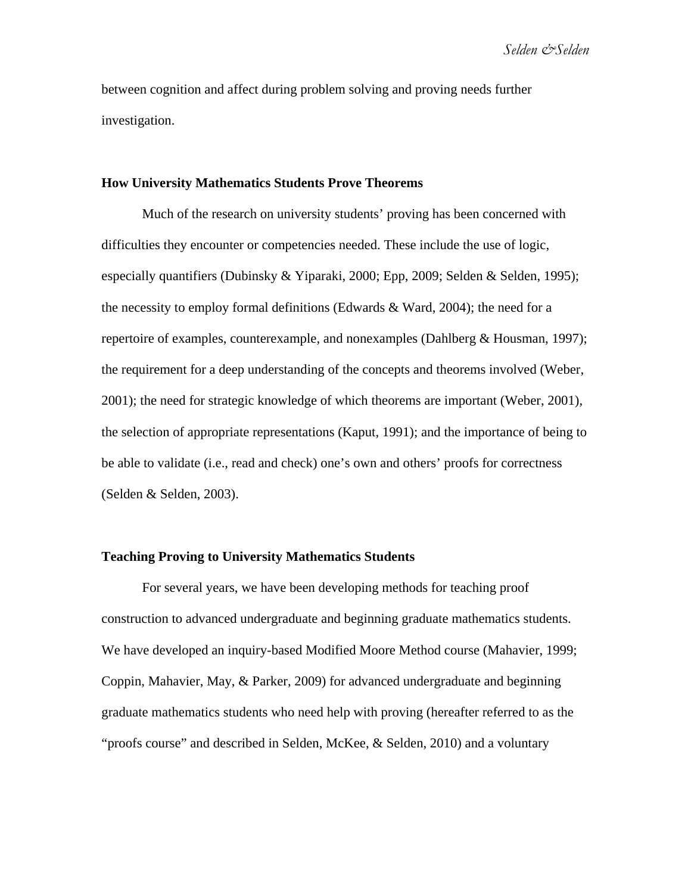between cognition and affect during problem solving and proving needs further investigation.

#### **How University Mathematics Students Prove Theorems**

Much of the research on university students' proving has been concerned with difficulties they encounter or competencies needed. These include the use of logic, especially quantifiers (Dubinsky & Yiparaki, 2000; Epp, 2009; Selden & Selden, 1995); the necessity to employ formal definitions (Edwards  $\&$  Ward, 2004); the need for a repertoire of examples, counterexample, and nonexamples (Dahlberg & Housman, 1997); the requirement for a deep understanding of the concepts and theorems involved (Weber, 2001); the need for strategic knowledge of which theorems are important (Weber, 2001), the selection of appropriate representations (Kaput, 1991); and the importance of being to be able to validate (i.e., read and check) one's own and others' proofs for correctness (Selden & Selden, 2003).

## **Teaching Proving to University Mathematics Students**

For several years, we have been developing methods for teaching proof construction to advanced undergraduate and beginning graduate mathematics students. We have developed an inquiry-based Modified Moore Method course (Mahavier, 1999; Coppin, Mahavier, May, & Parker, 2009) for advanced undergraduate and beginning graduate mathematics students who need help with proving (hereafter referred to as the "proofs course" and described in Selden, McKee, & Selden, 2010) and a voluntary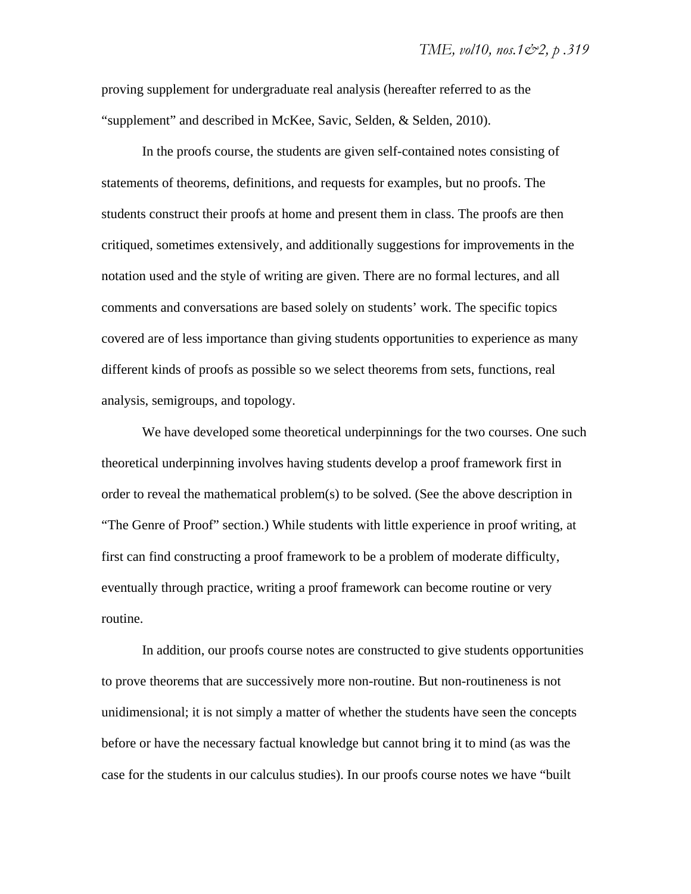proving supplement for undergraduate real analysis (hereafter referred to as the "supplement" and described in McKee, Savic, Selden, & Selden, 2010).

In the proofs course, the students are given self-contained notes consisting of statements of theorems, definitions, and requests for examples, but no proofs. The students construct their proofs at home and present them in class. The proofs are then critiqued, sometimes extensively, and additionally suggestions for improvements in the notation used and the style of writing are given. There are no formal lectures, and all comments and conversations are based solely on students' work. The specific topics covered are of less importance than giving students opportunities to experience as many different kinds of proofs as possible so we select theorems from sets, functions, real analysis, semigroups, and topology.

We have developed some theoretical underpinnings for the two courses. One such theoretical underpinning involves having students develop a proof framework first in order to reveal the mathematical problem(s) to be solved. (See the above description in "The Genre of Proof" section.) While students with little experience in proof writing, at first can find constructing a proof framework to be a problem of moderate difficulty, eventually through practice, writing a proof framework can become routine or very routine.

In addition, our proofs course notes are constructed to give students opportunities to prove theorems that are successively more non-routine. But non-routineness is not unidimensional; it is not simply a matter of whether the students have seen the concepts before or have the necessary factual knowledge but cannot bring it to mind (as was the case for the students in our calculus studies). In our proofs course notes we have "built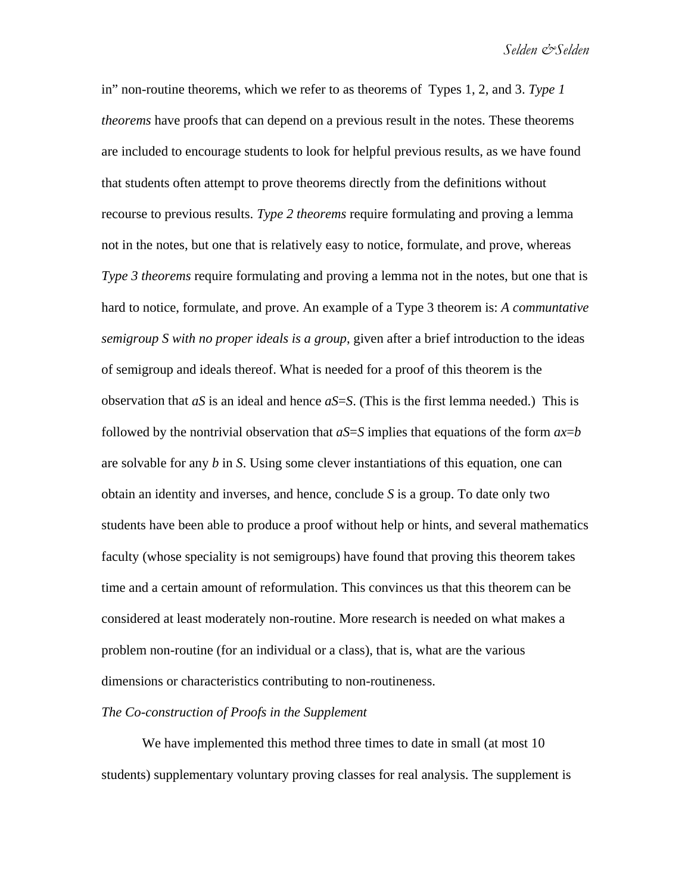in" non-routine theorems, which we refer to as theorems of Types 1, 2, and 3. *Type 1 theorems* have proofs that can depend on a previous result in the notes. These theorems are included to encourage students to look for helpful previous results, as we have found that students often attempt to prove theorems directly from the definitions without recourse to previous results. *Type 2 theorems* require formulating and proving a lemma not in the notes, but one that is relatively easy to notice, formulate, and prove, whereas *Type 3 theorems* require formulating and proving a lemma not in the notes, but one that is hard to notice, formulate, and prove. An example of a Type 3 theorem is: *A communtative semigroup S with no proper ideals is a group*, given after a brief introduction to the ideas of semigroup and ideals thereof. What is needed for a proof of this theorem is the observation that  $aS$  is an ideal and hence  $aS=S$ . (This is the first lemma needed.) This is followed by the nontrivial observation that  $aS=S$  implies that equations of the form  $ax=b$ are solvable for any *b* in *S*. Using some clever instantiations of this equation, one can obtain an identity and inverses, and hence, conclude *S* is a group. To date only two students have been able to produce a proof without help or hints, and several mathematics faculty (whose speciality is not semigroups) have found that proving this theorem takes time and a certain amount of reformulation. This convinces us that this theorem can be considered at least moderately non-routine. More research is needed on what makes a problem non-routine (for an individual or a class), that is, what are the various dimensions or characteristics contributing to non-routineness.

## *The Co-construction of Proofs in the Supplement*

We have implemented this method three times to date in small (at most 10 students) supplementary voluntary proving classes for real analysis. The supplement is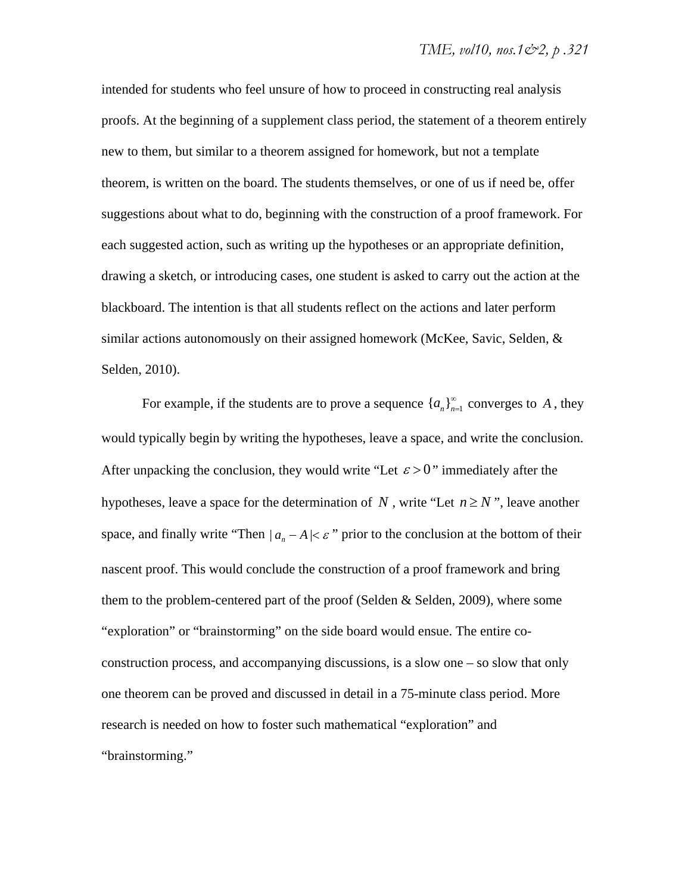intended for students who feel unsure of how to proceed in constructing real analysis proofs. At the beginning of a supplement class period, the statement of a theorem entirely new to them, but similar to a theorem assigned for homework, but not a template theorem, is written on the board. The students themselves, or one of us if need be, offer suggestions about what to do, beginning with the construction of a proof framework. For each suggested action, such as writing up the hypotheses or an appropriate definition, drawing a sketch, or introducing cases, one student is asked to carry out the action at the blackboard. The intention is that all students reflect on the actions and later perform similar actions autonomously on their assigned homework (McKee, Savic, Selden, & Selden, 2010).

For example, if the students are to prove a sequence  $\{a_n\}_{n=1}^{\infty}$  converges to A, they would typically begin by writing the hypotheses, leave a space, and write the conclusion. After unpacking the conclusion, they would write "Let  $\varepsilon > 0$ " immediately after the hypotheses, leave a space for the determination of *N*, write "Let  $n \ge N$ ", leave another space, and finally write "Then  $| a_n - A | \leq \varepsilon$ " prior to the conclusion at the bottom of their nascent proof. This would conclude the construction of a proof framework and bring them to the problem-centered part of the proof (Selden & Selden, 2009), where some "exploration" or "brainstorming" on the side board would ensue. The entire coconstruction process, and accompanying discussions, is a slow one – so slow that only one theorem can be proved and discussed in detail in a 75-minute class period. More research is needed on how to foster such mathematical "exploration" and "brainstorming."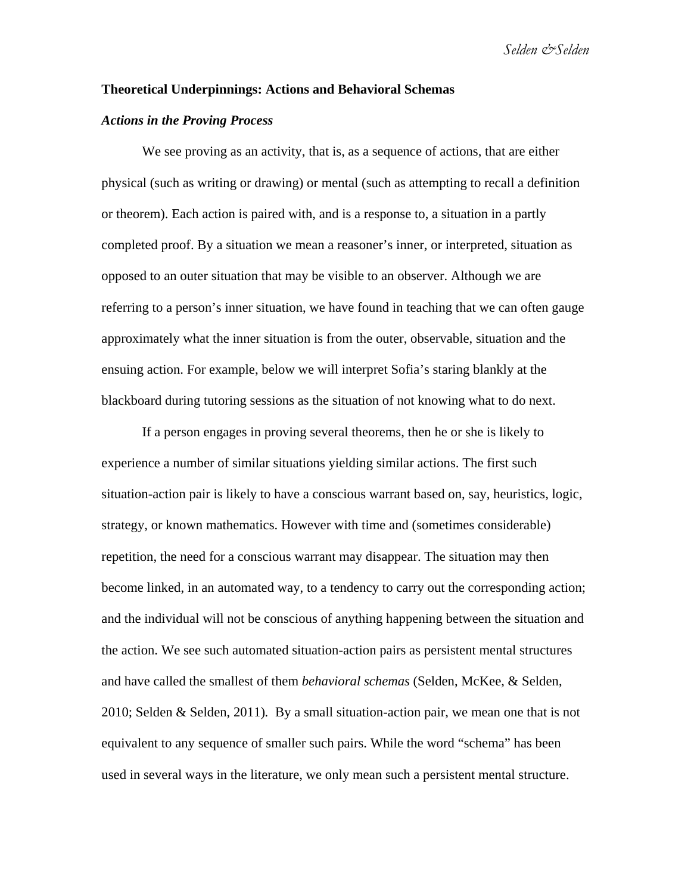*Selden &Selden* 

## **Theoretical Underpinnings: Actions and Behavioral Schemas**

#### *Actions in the Proving Process*

We see proving as an activity, that is, as a sequence of actions, that are either physical (such as writing or drawing) or mental (such as attempting to recall a definition or theorem). Each action is paired with, and is a response to, a situation in a partly completed proof. By a situation we mean a reasoner's inner, or interpreted, situation as opposed to an outer situation that may be visible to an observer. Although we are referring to a person's inner situation, we have found in teaching that we can often gauge approximately what the inner situation is from the outer, observable, situation and the ensuing action. For example, below we will interpret Sofia's staring blankly at the blackboard during tutoring sessions as the situation of not knowing what to do next.

If a person engages in proving several theorems, then he or she is likely to experience a number of similar situations yielding similar actions. The first such situation-action pair is likely to have a conscious warrant based on, say, heuristics, logic, strategy, or known mathematics. However with time and (sometimes considerable) repetition, the need for a conscious warrant may disappear. The situation may then become linked, in an automated way, to a tendency to carry out the corresponding action; and the individual will not be conscious of anything happening between the situation and the action. We see such automated situation-action pairs as persistent mental structures and have called the smallest of them *behavioral schemas* (Selden, McKee, & Selden, 2010; Selden & Selden, 2011)*.* By a small situation-action pair, we mean one that is not equivalent to any sequence of smaller such pairs. While the word "schema" has been used in several ways in the literature, we only mean such a persistent mental structure.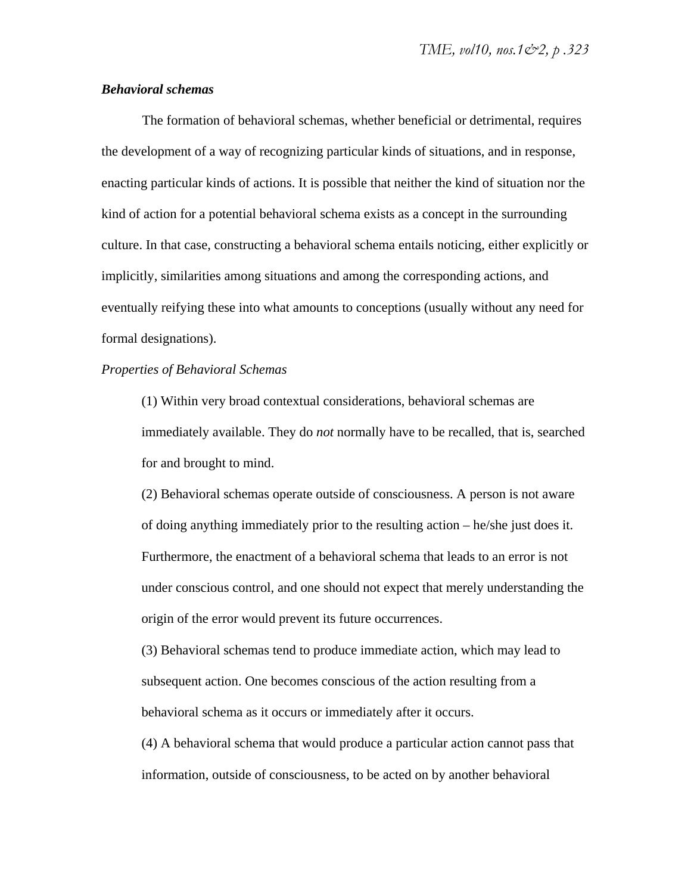## *Behavioral schemas*

The formation of behavioral schemas, whether beneficial or detrimental, requires the development of a way of recognizing particular kinds of situations, and in response, enacting particular kinds of actions. It is possible that neither the kind of situation nor the kind of action for a potential behavioral schema exists as a concept in the surrounding culture. In that case, constructing a behavioral schema entails noticing, either explicitly or implicitly, similarities among situations and among the corresponding actions, and eventually reifying these into what amounts to conceptions (usually without any need for formal designations).

## *Properties of Behavioral Schemas*

(1) Within very broad contextual considerations, behavioral schemas are immediately available. They do *not* normally have to be recalled, that is, searched for and brought to mind.

(2) Behavioral schemas operate outside of consciousness. A person is not aware of doing anything immediately prior to the resulting action – he/she just does it. Furthermore, the enactment of a behavioral schema that leads to an error is not under conscious control, and one should not expect that merely understanding the origin of the error would prevent its future occurrences.

(3) Behavioral schemas tend to produce immediate action, which may lead to subsequent action. One becomes conscious of the action resulting from a behavioral schema as it occurs or immediately after it occurs.

(4) A behavioral schema that would produce a particular action cannot pass that information, outside of consciousness, to be acted on by another behavioral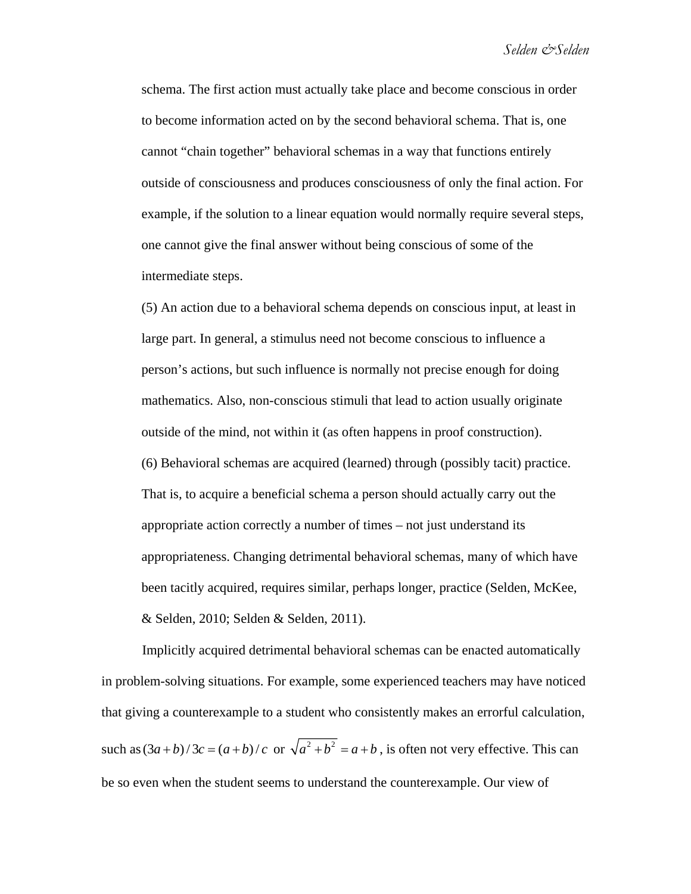schema. The first action must actually take place and become conscious in order to become information acted on by the second behavioral schema. That is, one cannot "chain together" behavioral schemas in a way that functions entirely outside of consciousness and produces consciousness of only the final action. For example, if the solution to a linear equation would normally require several steps, one cannot give the final answer without being conscious of some of the intermediate steps.

(5) An action due to a behavioral schema depends on conscious input, at least in large part. In general, a stimulus need not become conscious to influence a person's actions, but such influence is normally not precise enough for doing mathematics. Also, non-conscious stimuli that lead to action usually originate outside of the mind, not within it (as often happens in proof construction). (6) Behavioral schemas are acquired (learned) through (possibly tacit) practice. That is, to acquire a beneficial schema a person should actually carry out the appropriate action correctly a number of times – not just understand its appropriateness. Changing detrimental behavioral schemas, many of which have been tacitly acquired, requires similar, perhaps longer, practice (Selden, McKee, & Selden, 2010; Selden & Selden, 2011).

Implicitly acquired detrimental behavioral schemas can be enacted automatically in problem-solving situations. For example, some experienced teachers may have noticed that giving a counterexample to a student who consistently makes an errorful calculation, such as  $(3a+b)/3c = (a+b)/c$  or  $\sqrt{a^2+b^2} = a+b$ , is often not very effective. This can be so even when the student seems to understand the counterexample. Our view of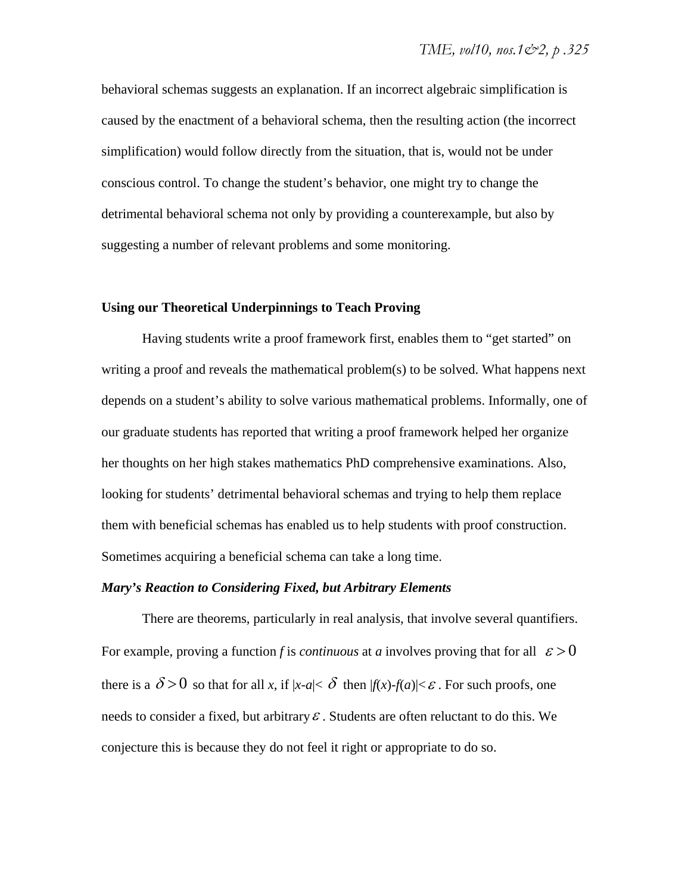behavioral schemas suggests an explanation. If an incorrect algebraic simplification is caused by the enactment of a behavioral schema, then the resulting action (the incorrect simplification) would follow directly from the situation, that is, would not be under conscious control. To change the student's behavior, one might try to change the detrimental behavioral schema not only by providing a counterexample, but also by suggesting a number of relevant problems and some monitoring.

## **Using our Theoretical Underpinnings to Teach Proving**

Having students write a proof framework first, enables them to "get started" on writing a proof and reveals the mathematical problem(s) to be solved. What happens next depends on a student's ability to solve various mathematical problems. Informally, one of our graduate students has reported that writing a proof framework helped her organize her thoughts on her high stakes mathematics PhD comprehensive examinations. Also, looking for students' detrimental behavioral schemas and trying to help them replace them with beneficial schemas has enabled us to help students with proof construction. Sometimes acquiring a beneficial schema can take a long time.

### *Mary's Reaction to Considering Fixed, but Arbitrary Elements*

There are theorems, particularly in real analysis, that involve several quantifiers. For example, proving a function f is *continuous* at *a* involves proving that for all  $\varepsilon > 0$ there is a  $\delta > 0$  so that for all *x*, if  $|x-a| < \delta$  then  $|f(x)-f(a)| < \varepsilon$ . For such proofs, one needs to consider a fixed, but arbitrary  $\varepsilon$ . Students are often reluctant to do this. We conjecture this is because they do not feel it right or appropriate to do so.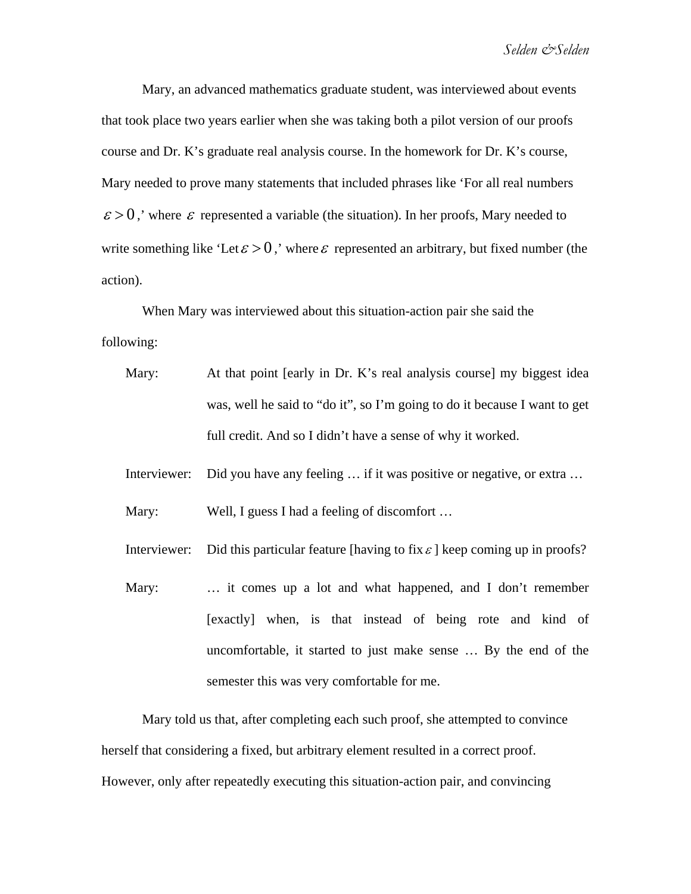Mary, an advanced mathematics graduate student, was interviewed about events that took place two years earlier when she was taking both a pilot version of our proofs course and Dr. K's graduate real analysis course. In the homework for Dr. K's course, Mary needed to prove many statements that included phrases like 'For all real numbers  $\varepsilon > 0$ , where  $\varepsilon$  represented a variable (the situation). In her proofs, Mary needed to write something like 'Let  $\varepsilon > 0$ ,' where  $\varepsilon$  represented an arbitrary, but fixed number (the action).

When Mary was interviewed about this situation-action pair she said the following:

- Mary: At that point [early in Dr. K's real analysis course] my biggest idea was, well he said to "do it", so I'm going to do it because I want to get full credit. And so I didn't have a sense of why it worked.
- Interviewer: Did you have any feeling … if it was positive or negative, or extra …

Mary: Well, I guess I had a feeling of discomfort ...

- Interviewer: Did this particular feature [having to fix  $\varepsilon$ ] keep coming up in proofs?
- Mary: ... it comes up a lot and what happened, and I don't remember [exactly] when, is that instead of being rote and kind of uncomfortable, it started to just make sense … By the end of the semester this was very comfortable for me.

Mary told us that, after completing each such proof, she attempted to convince herself that considering a fixed, but arbitrary element resulted in a correct proof. However, only after repeatedly executing this situation-action pair, and convincing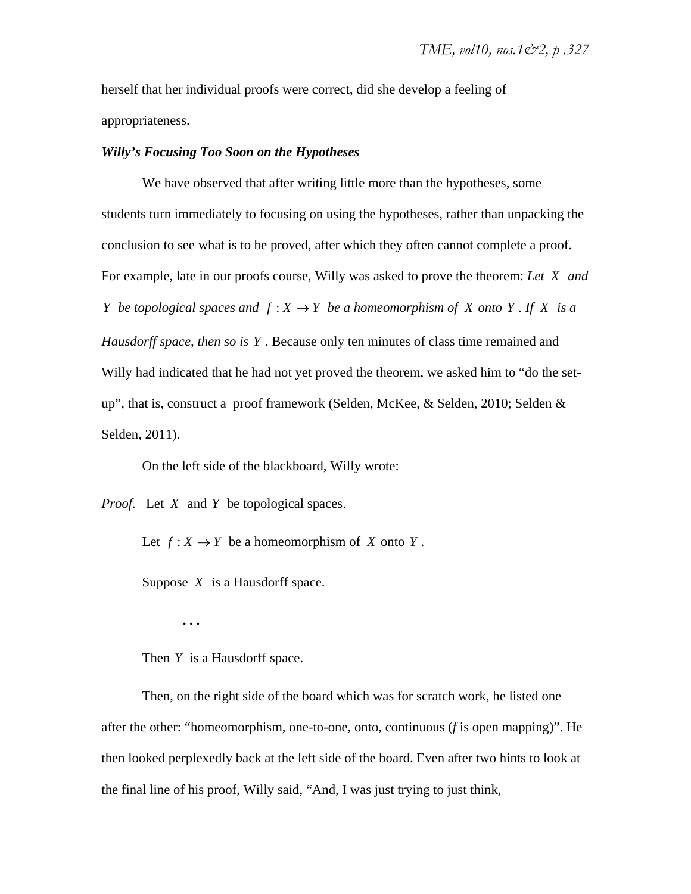herself that her individual proofs were correct, did she develop a feeling of appropriateness.

## *Willy's Focusing Too Soon on the Hypotheses*

We have observed that after writing little more than the hypotheses, some students turn immediately to focusing on using the hypotheses, rather than unpacking the conclusion to see what is to be proved, after which they often cannot complete a proof. For example, late in our proofs course, Willy was asked to prove the theorem: *Let X and Y be topological spaces and*  $f : X \rightarrow Y$  *be a homeomorphism of X onto Y . If X is a Hausdorff space, then so is Y* . Because only ten minutes of class time remained and Willy had indicated that he had not yet proved the theorem, we asked him to "do the setup", that is, construct a proof framework (Selden, McKee, & Selden, 2010; Selden & Selden, 2011).

On the left side of the blackboard, Willy wrote:

*Proof.* Let *X* and *Y* be topological spaces.

Let  $f: X \to Y$  be a homeomorphism of *X* onto *Y*.

Suppose *X* is a Hausdorff space.

**. . .** 

Then *Y* is a Hausdorff space.

Then, on the right side of the board which was for scratch work, he listed one after the other: "homeomorphism, one-to-one, onto, continuous (*f* is open mapping)". He then looked perplexedly back at the left side of the board. Even after two hints to look at the final line of his proof, Willy said, "And, I was just trying to just think,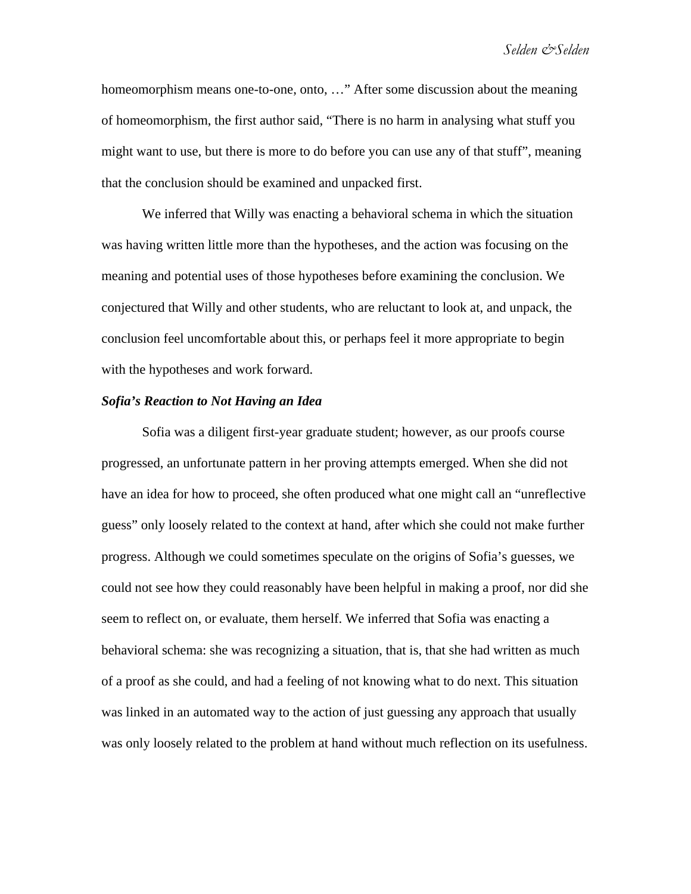*Selden &Selden* 

homeomorphism means one-to-one, onto, ..." After some discussion about the meaning of homeomorphism, the first author said, "There is no harm in analysing what stuff you might want to use, but there is more to do before you can use any of that stuff", meaning that the conclusion should be examined and unpacked first.

We inferred that Willy was enacting a behavioral schema in which the situation was having written little more than the hypotheses, and the action was focusing on the meaning and potential uses of those hypotheses before examining the conclusion. We conjectured that Willy and other students, who are reluctant to look at, and unpack, the conclusion feel uncomfortable about this, or perhaps feel it more appropriate to begin with the hypotheses and work forward.

#### *Sofia's Reaction to Not Having an Idea*

Sofia was a diligent first-year graduate student; however, as our proofs course progressed, an unfortunate pattern in her proving attempts emerged. When she did not have an idea for how to proceed, she often produced what one might call an "unreflective guess" only loosely related to the context at hand, after which she could not make further progress. Although we could sometimes speculate on the origins of Sofia's guesses, we could not see how they could reasonably have been helpful in making a proof, nor did she seem to reflect on, or evaluate, them herself. We inferred that Sofia was enacting a behavioral schema: she was recognizing a situation, that is, that she had written as much of a proof as she could, and had a feeling of not knowing what to do next. This situation was linked in an automated way to the action of just guessing any approach that usually was only loosely related to the problem at hand without much reflection on its usefulness.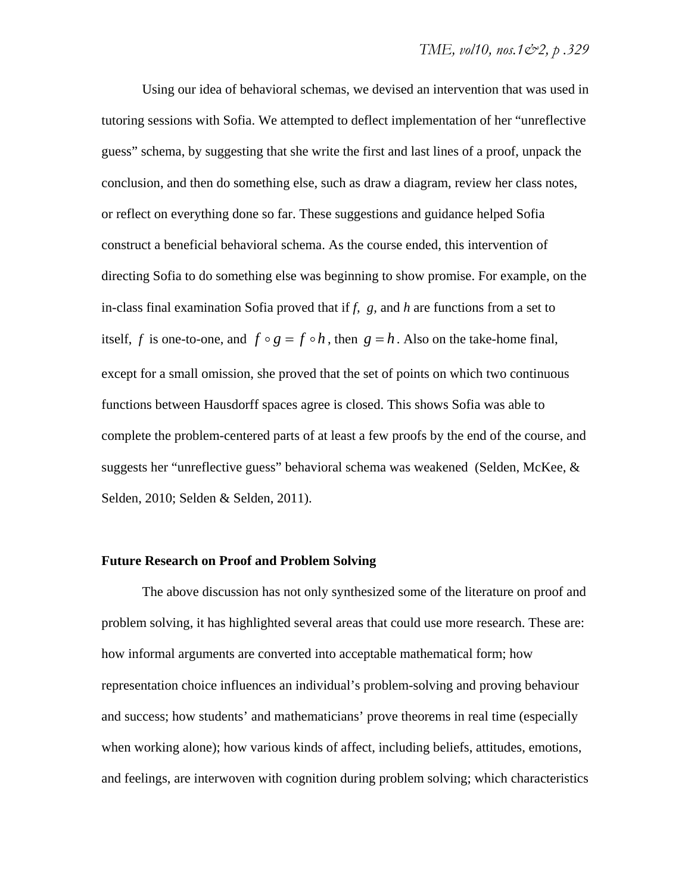Using our idea of behavioral schemas, we devised an intervention that was used in tutoring sessions with Sofia. We attempted to deflect implementation of her "unreflective guess" schema, by suggesting that she write the first and last lines of a proof, unpack the conclusion, and then do something else, such as draw a diagram, review her class notes, or reflect on everything done so far. These suggestions and guidance helped Sofia construct a beneficial behavioral schema. As the course ended, this intervention of directing Sofia to do something else was beginning to show promise. For example, on the in-class final examination Sofia proved that if *f, g,* and *h* are functions from a set to itself, *f* is one-to-one, and  $f \circ g = f \circ h$ , then  $g = h$ . Also on the take-home final, except for a small omission, she proved that the set of points on which two continuous functions between Hausdorff spaces agree is closed. This shows Sofia was able to complete the problem-centered parts of at least a few proofs by the end of the course, and suggests her "unreflective guess" behavioral schema was weakened (Selden, McKee, & Selden, 2010; Selden & Selden, 2011).

## **Future Research on Proof and Problem Solving**

The above discussion has not only synthesized some of the literature on proof and problem solving, it has highlighted several areas that could use more research. These are: how informal arguments are converted into acceptable mathematical form; how representation choice influences an individual's problem-solving and proving behaviour and success; how students' and mathematicians' prove theorems in real time (especially when working alone); how various kinds of affect, including beliefs, attitudes, emotions, and feelings, are interwoven with cognition during problem solving; which characteristics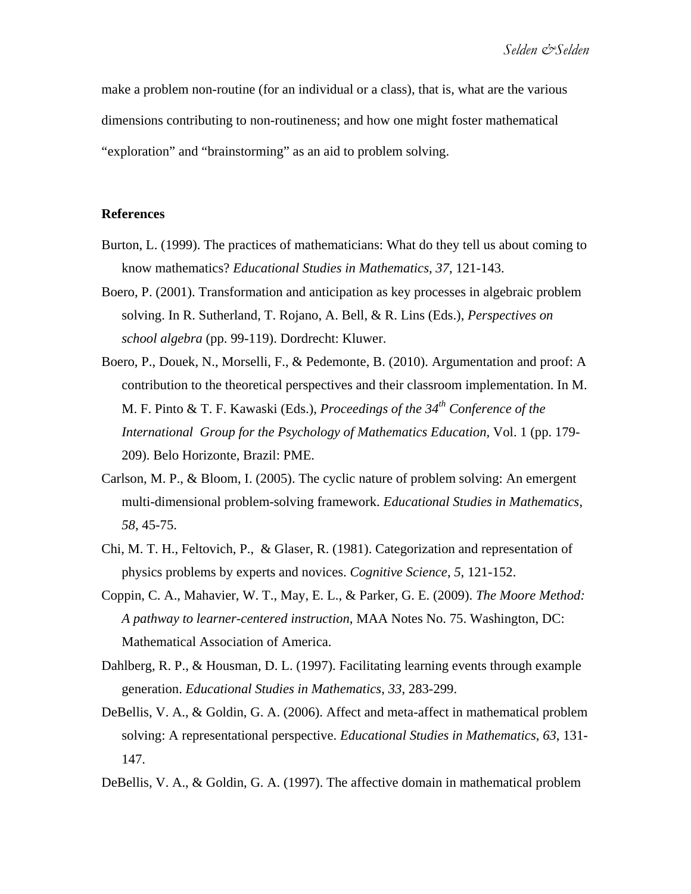make a problem non-routine (for an individual or a class), that is, what are the various dimensions contributing to non-routineness; and how one might foster mathematical "exploration" and "brainstorming" as an aid to problem solving.

#### **References**

- Burton, L. (1999). The practices of mathematicians: What do they tell us about coming to know mathematics? *Educational Studies in Mathematics*, *37*, 121-143.
- Boero, P. (2001). Transformation and anticipation as key processes in algebraic problem solving. In R. Sutherland, T. Rojano, A. Bell, & R. Lins (Eds.), *Perspectives on school algebra* (pp. 99-119). Dordrecht: Kluwer.
- Boero, P., Douek, N., Morselli, F., & Pedemonte, B. (2010). Argumentation and proof: A contribution to the theoretical perspectives and their classroom implementation. In M. M. F. Pinto & T. F. Kawaski (Eds.), *Proceedings of the 34th Conference of the International Group for the Psychology of Mathematics Education,* Vol. 1 (pp. 179- 209). Belo Horizonte, Brazil: PME.
- Carlson, M. P., & Bloom, I. (2005). The cyclic nature of problem solving: An emergent multi-dimensional problem-solving framework. *Educational Studies in Mathematics*, *58*, 45-75.
- Chi, M. T. H., Feltovich, P., & Glaser, R. (1981). Categorization and representation of physics problems by experts and novices. *Cognitive Science*, *5*, 121-152.
- Coppin, C. A., Mahavier, W. T., May, E. L., & Parker, G. E. (2009). *The Moore Method: A pathway to learner-centered instruction*, MAA Notes No. 75. Washington, DC: Mathematical Association of America.
- Dahlberg, R. P., & Housman, D. L. (1997). Facilitating learning events through example generation. *Educational Studies in Mathematics*, *33*, 283-299.
- DeBellis, V. A., & Goldin, G. A. (2006). Affect and meta-affect in mathematical problem solving: A representational perspective. *Educational Studies in Mathematics*, *63*, 131- 147.
- DeBellis, V. A., & Goldin, G. A. (1997). The affective domain in mathematical problem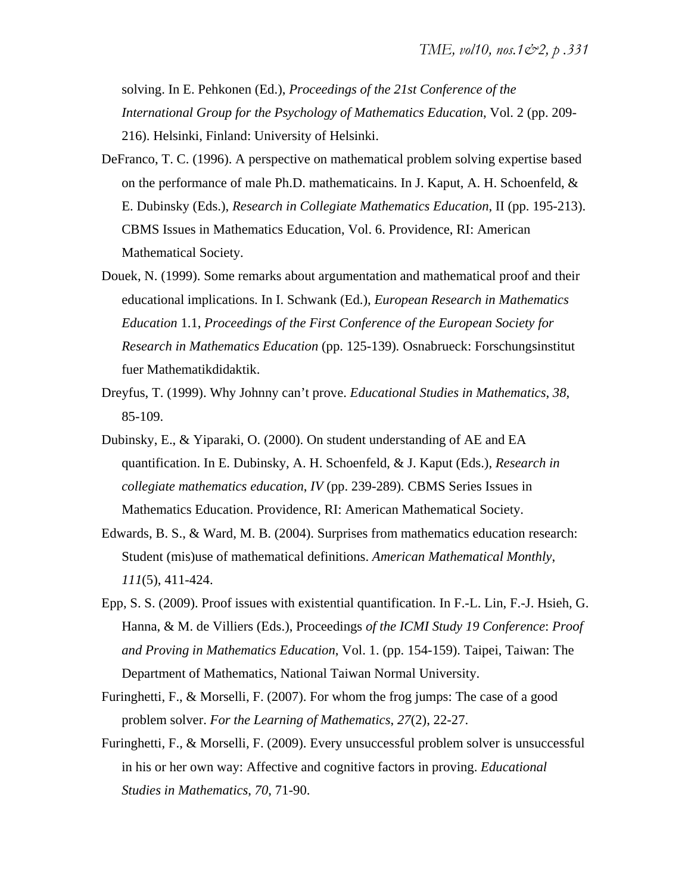solving. In E. Pehkonen (Ed.), *Proceedings of the 21st Conference of the International Group for the Psychology of Mathematics Education*, Vol. 2 (pp. 209- 216). Helsinki, Finland: University of Helsinki.

- DeFranco, T. C. (1996). A perspective on mathematical problem solving expertise based on the performance of male Ph.D. mathematicains. In J. Kaput, A. H. Schoenfeld, & E. Dubinsky (Eds.), *Research in Collegiate Mathematics Education*, II (pp. 195-213). CBMS Issues in Mathematics Education, Vol. 6. Providence, RI: American Mathematical Society.
- Douek, N. (1999). Some remarks about argumentation and mathematical proof and their educational implications. In I. Schwank (Ed.), *European Research in Mathematics Education* 1.1, *Proceedings of the First Conference of the European Society for Research in Mathematics Education* (pp. 125-139)*.* Osnabrueck: Forschungsinstitut fuer Mathematikdidaktik.
- Dreyfus, T. (1999). Why Johnny can't prove. *Educational Studies in Mathematics*, *38*, 85-109.
- Dubinsky, E., & Yiparaki, O. (2000). On student understanding of AE and EA quantification. In E. Dubinsky, A. H. Schoenfeld, & J. Kaput (Eds.), *Research in collegiate mathematics education*, *IV* (pp. 239-289)*.* CBMS Series Issues in Mathematics Education. Providence, RI: American Mathematical Society.
- Edwards, B. S., & Ward, M. B. (2004). Surprises from mathematics education research: Student (mis)use of mathematical definitions. *American Mathematical Monthly*, *111*(5), 411-424.
- Epp, S. S. (2009). Proof issues with existential quantification. In F.-L. Lin, F.-J. Hsieh, G. Hanna, & M. de Villiers (Eds.), Proceedings *of the ICMI Study 19 Conference*: *Proof and Proving in Mathematics Education*, Vol. 1. (pp. 154-159). Taipei, Taiwan: The Department of Mathematics, National Taiwan Normal University.
- Furinghetti, F., & Morselli, F. (2007). For whom the frog jumps: The case of a good problem solver. *For the Learning of Mathematics*, *27*(2), 22-27.
- Furinghetti, F., & Morselli, F. (2009). Every unsuccessful problem solver is unsuccessful in his or her own way: Affective and cognitive factors in proving. *Educational Studies in Mathematics*, *70*, 71-90.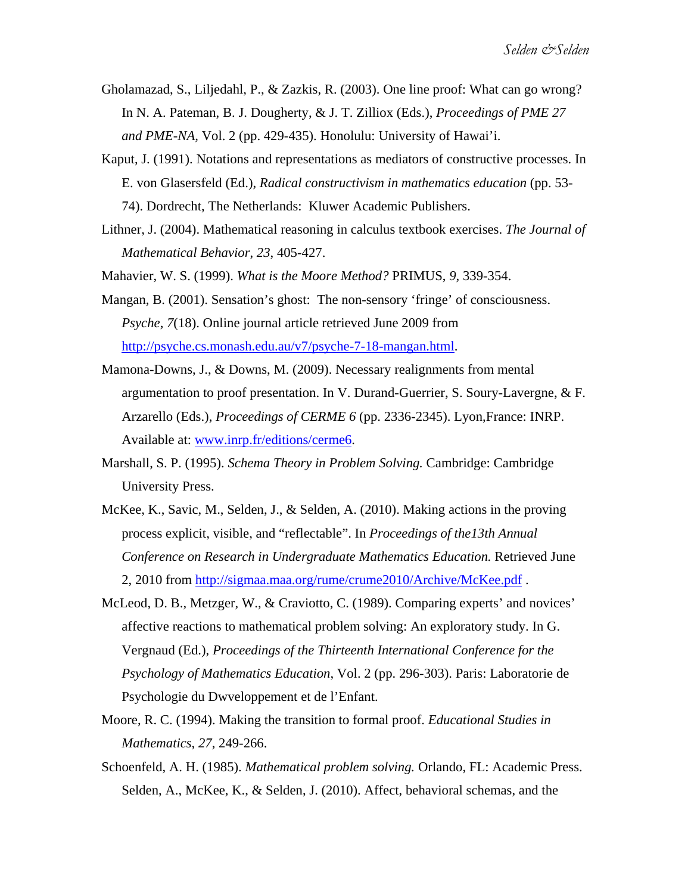- Gholamazad, S., Liljedahl, P., & Zazkis, R. (2003). One line proof: What can go wrong? In N. A. Pateman, B. J. Dougherty, & J. T. Zilliox (Eds.), *Proceedings of PME 27 and PME-NA,* Vol. 2 (pp. 429-435). Honolulu: University of Hawai'i.
- Kaput, J. (1991). Notations and representations as mediators of constructive processes. In E. von Glasersfeld (Ed.), *Radical constructivism in mathematics education* (pp. 53- 74). Dordrecht, The Netherlands: Kluwer Academic Publishers.
- Lithner, J. (2004). Mathematical reasoning in calculus textbook exercises. *The Journal of Mathematical Behavior*, *23*, 405-427.
- Mahavier, W. S. (1999). *What is the Moore Method?* PRIMUS, *9*, 339-354.
- Mangan, B. (2001). Sensation's ghost: The non-sensory 'fringe' of consciousness. *Psyche*, *7*(18). Online journal article retrieved June 2009 from http://psyche.cs.monash.edu.au/v7/psyche-7-18-mangan.html.
- Mamona-Downs, J., & Downs, M. (2009). Necessary realignments from mental argumentation to proof presentation. In V. Durand-Guerrier, S. Soury-Lavergne, & F. Arzarello (Eds.), *Proceedings of CERME 6* (pp. 2336-2345). Lyon,France: INRP. Available at: www.inrp.fr/editions/cerme6.
- Marshall, S. P. (1995). *Schema Theory in Problem Solving.* Cambridge: Cambridge University Press.
- McKee, K., Savic, M., Selden, J., & Selden, A. (2010). Making actions in the proving process explicit, visible, and "reflectable". In *Proceedings of the13th Annual Conference on Research in Undergraduate Mathematics Education.* Retrieved June 2, 2010 from http://sigmaa.maa.org/rume/crume2010/Archive/McKee.pdf .
- McLeod, D. B., Metzger, W., & Craviotto, C. (1989). Comparing experts' and novices' affective reactions to mathematical problem solving: An exploratory study. In G. Vergnaud (Ed.), *Proceedings of the Thirteenth International Conference for the Psychology of Mathematics Education*, Vol. 2 (pp. 296-303). Paris: Laboratorie de Psychologie du Dwveloppement et de l'Enfant.
- Moore, R. C. (1994). Making the transition to formal proof. *Educational Studies in Mathematics*, *27*, 249-266.
- Schoenfeld, A. H. (1985). *Mathematical problem solving.* Orlando, FL: Academic Press. Selden, A., McKee, K., & Selden, J. (2010). Affect, behavioral schemas, and the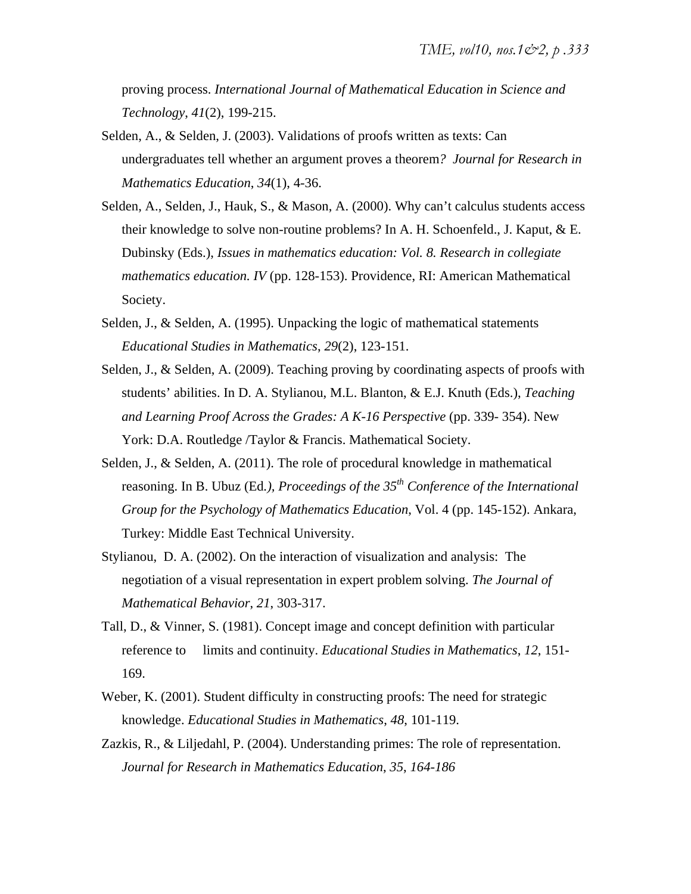proving process. *International Journal of Mathematical Education in Science and Technology*, *41*(2), 199-215.

- Selden, A., & Selden, J. (2003). Validations of proofs written as texts: Can undergraduates tell whether an argument proves a theorem*? Journal for Research in Mathematics Education*, *34*(1), 4-36.
- Selden, A., Selden, J., Hauk, S., & Mason, A. (2000). Why can't calculus students access their knowledge to solve non-routine problems? In A. H. Schoenfeld., J. Kaput, & E. Dubinsky (Eds.), *Issues in mathematics education: Vol. 8. Research in collegiate mathematics education. IV* (pp. 128-153). Providence, RI: American Mathematical Society.
- Selden, J., & Selden, A. (1995). Unpacking the logic of mathematical statements *Educational Studies in Mathematics*, *29*(2), 123-151.
- Selden, J., & Selden, A. (2009). Teaching proving by coordinating aspects of proofs with students' abilities. In D. A. Stylianou, M.L. Blanton, & E.J. Knuth (Eds.), *Teaching and Learning Proof Across the Grades: A K-16 Perspective* (pp. 339- 354). New York: D.A. Routledge /Taylor & Francis. Mathematical Society.
- Selden, J., & Selden, A. (2011). The role of procedural knowledge in mathematical reasoning. In B. Ubuz (Ed*.), Proceedings of the 35th Conference of the International Group for the Psychology of Mathematics Education*, Vol. 4 (pp. 145-152). Ankara, Turkey: Middle East Technical University.
- Stylianou, D. A. (2002). On the interaction of visualization and analysis: The negotiation of a visual representation in expert problem solving. *The Journal of Mathematical Behavior*, *21*, 303-317.
- Tall, D., & Vinner, S. (1981). Concept image and concept definition with particular reference to limits and continuity. *Educational Studies in Mathematics*, *12*, 151- 169.
- Weber, K. (2001). Student difficulty in constructing proofs: The need for strategic knowledge. *Educational Studies in Mathematics*, *48*, 101-119.
- Zazkis, R., & Liljedahl, P. (2004). Understanding primes: The role of representation. *Journal for Research in Mathematics Education*, *35*, *164-186*